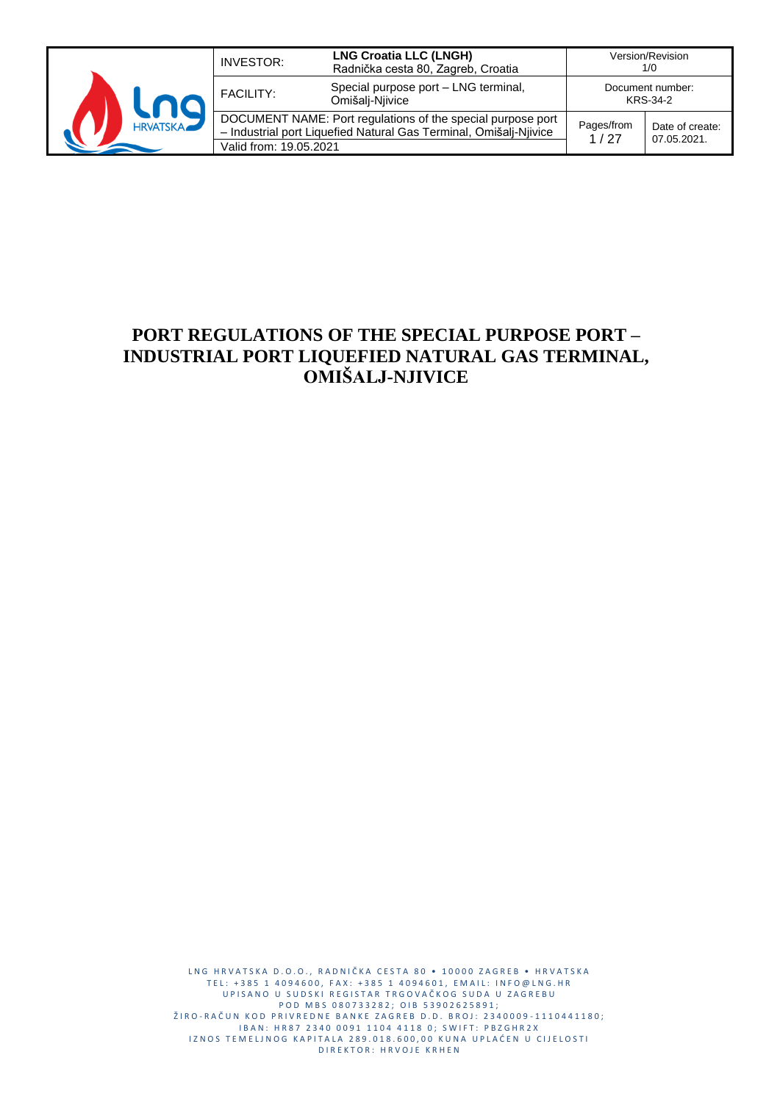

| INVESTOR:                                                                                                                                                  | <b>LNG Croatia LLC (LNGH)</b><br>Radnička cesta 80, Zagreb, Croatia |                                | Version/Revision<br>1/0      |
|------------------------------------------------------------------------------------------------------------------------------------------------------------|---------------------------------------------------------------------|--------------------------------|------------------------------|
| <b>FACILITY:</b>                                                                                                                                           | Special purpose port - LNG terminal,<br>Omišalį-Njivice             |                                | Document number:<br>KRS-34-2 |
| DOCUMENT NAME: Port regulations of the special purpose port<br>- Industrial port Liquefied Natural Gas Terminal, Omišalj-Njivice<br>Valid from: 19.05.2021 | Pages/from<br>1/27                                                  | Date of create:<br>07.05.2021. |                              |

# **PORT REGULATIONS OF THE SPECIAL PURPOSE PORT – INDUSTRIAL PORT LIQUEFIED NATURAL GAS TERMINAL, OMIŠALJ-NJIVICE**

L N G H R V A T S K A D . O . O . , R A D N I Č K A C E S T A 80 · 10000 Z A G R E B · H R V A T S K A T E L : +385 1 4094600, F A X : +385 1 4094601, E M A I L : I N F O @ L N G . H R UP I SA NO U SUDSKI REGISTAR TRGOVAČKOG SUDA U ZAGREBU P O D M B S 0 8 0 7 3 3 2 8 2 ; O I B 5 3 9 0 2 6 2 5 8 9 1 ; ŽIRO-RAČUN KOD PRIVREDNE BANKE ZAGREB D.D. BROJ: 2340009-1110441180; IBAN: HR87 2340 0091 1104 4118 0; SWIFT: PBZGHR2X IZNOS TEMELJNOG KAPITALA 289.018.600,00 KUNA UPLAĆEN U CIJELOSTI D I R E K T O R : H R V O J E K R H E N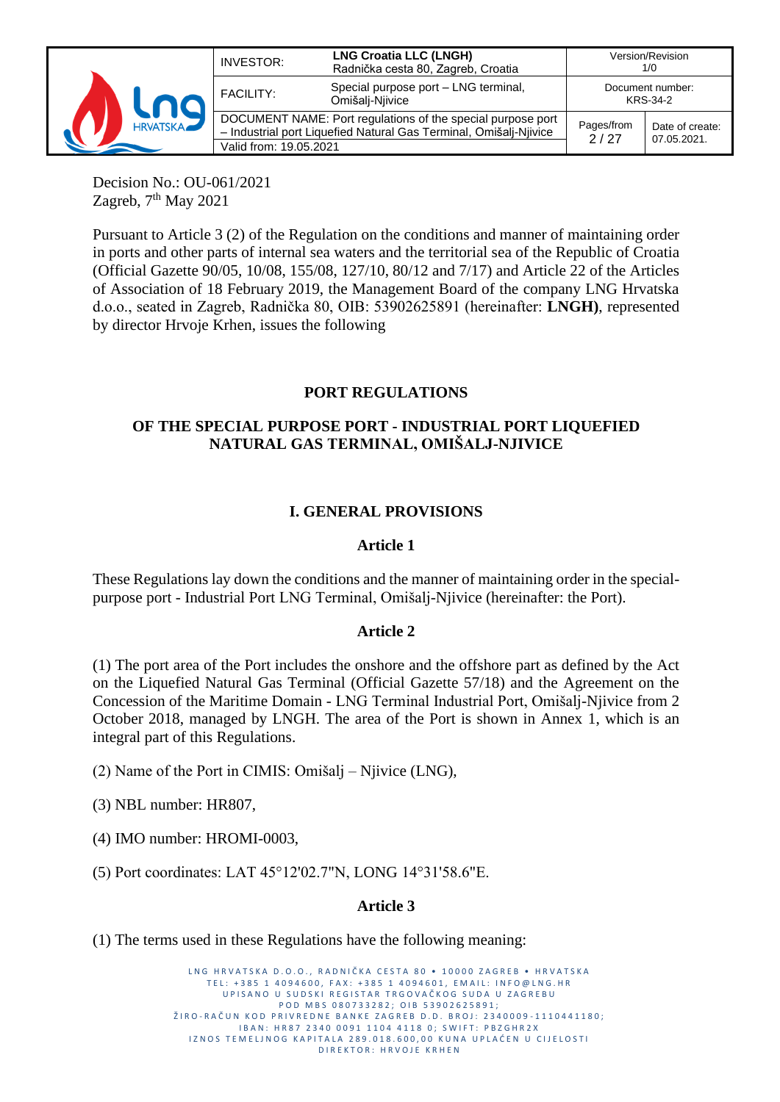

Decision No.: OU-061/2021 Zagreb,  $7<sup>th</sup>$  May 2021

Pursuant to Article 3 (2) of the Regulation on the conditions and manner of maintaining order in ports and other parts of internal sea waters and the territorial sea of the Republic of Croatia (Official Gazette 90/05, 10/08, 155/08, 127/10, 80/12 and 7/17) and Article 22 of the Articles of Association of 18 February 2019, the Management Board of the company LNG Hrvatska d.o.o., seated in Zagreb, Radnička 80, OIB: 53902625891 (hereinafter: **LNGH)**, represented by director Hrvoje Krhen, issues the following

## **PORT REGULATIONS**

## **OF THE SPECIAL PURPOSE PORT - INDUSTRIAL PORT LIQUEFIED NATURAL GAS TERMINAL, OMIŠALJ-NJIVICE**

#### **I. GENERAL PROVISIONS**

#### **Article 1**

These Regulations lay down the conditions and the manner of maintaining order in the specialpurpose port - Industrial Port LNG Terminal, Omišalj-Njivice (hereinafter: the Port).

#### **Article 2**

(1) The port area of the Port includes the onshore and the offshore part as defined by the Act on the Liquefied Natural Gas Terminal (Official Gazette 57/18) and the Agreement on the Concession of the Maritime Domain - LNG Terminal Industrial Port, Omišalj-Njivice from 2 October 2018, managed by LNGH. The area of the Port is shown in Annex 1, which is an integral part of this Regulations.

(2) Name of the Port in CIMIS: Omišalj – Njivice (LNG),

(3) NBL number: HR807,

(4) IMO number: HROMI-0003,

(5) Port coordinates: LAT 45°12'02.7"N, LONG 14°31'58.6"E.

#### **Article 3**

(1) The terms used in these Regulations have the following meaning:

LNG HRVATSKA D.O.O., RADNIČKA CESTA 80 · 10000 ZAGREB · HRVATSKA TEL: +385 1 4094600, FAX: +385 1 4094601, EMAIL: INFO@LNG.HR UP I SANO U SUDSKI REGISTAR TRGOVAČKOG SUDA U ZAGREBU P O D M B S 0 8 0 7 3 3 2 8 2 ; O I B 5 3 9 0 2 6 2 5 8 9 1 ; ŽIRO-RAČUN KOD PRIVREDNE BANKE ZAGREB D.D. BROJ: 2340009-1110441180; IBAN: HR87 2340 0091 1104 4118 0; SWIFT: PBZGHR2X IZNOS TEMELJNOG KAPITALA 289.018.600,00 KUNA UPLAĆEN U CIJELOSTI D I R E K T O R : H R V O J E K R H E N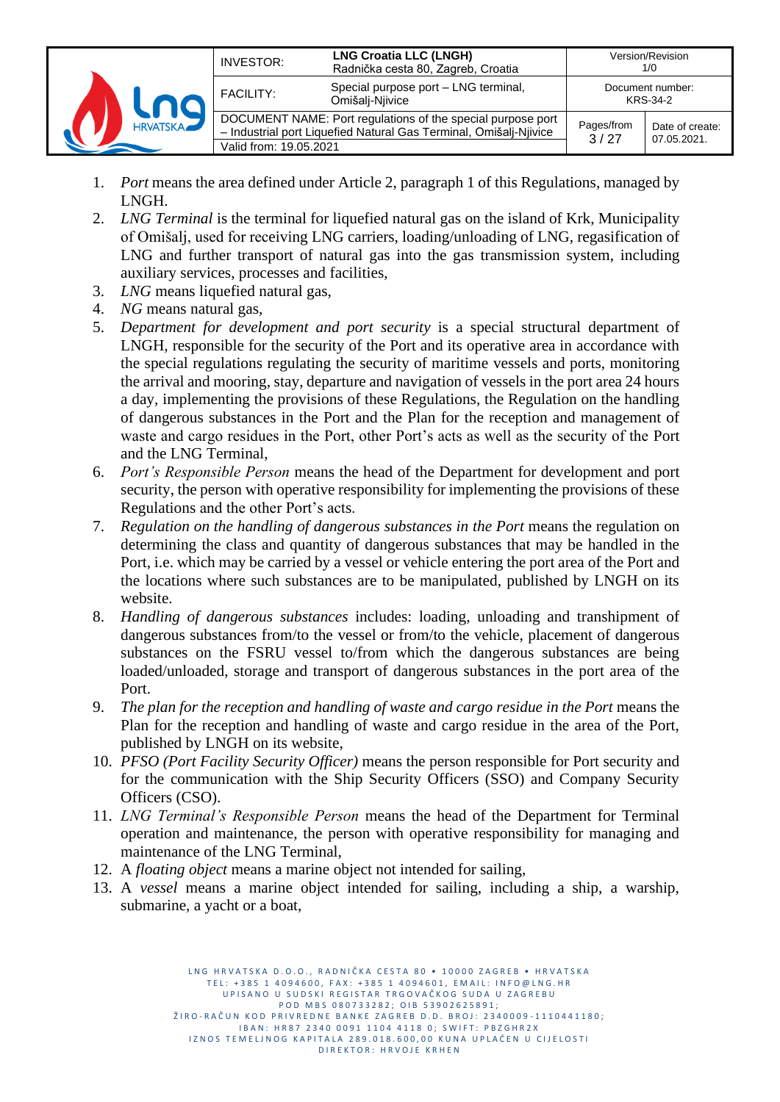|                 | INVESTOR:              | <b>LNG Croatia LLC (LNGH)</b><br>Radnička cesta 80, Zagreb, Croatia                                                              |                    | Version/Revision<br>1/0        |
|-----------------|------------------------|----------------------------------------------------------------------------------------------------------------------------------|--------------------|--------------------------------|
|                 | <b>FACILITY:</b>       | Special purpose port - LNG terminal,<br>Omišalį-Niivice                                                                          |                    | Document number:<br>KRS-34-2   |
| <b>HRVATSKA</b> | Valid from: 19.05.2021 | DOCUMENT NAME: Port regulations of the special purpose port<br>- Industrial port Liquefied Natural Gas Terminal, Omišalj-Njivice | Pages/from<br>3/27 | Date of create:<br>07.05.2021. |

- 1. *Port* means the area defined under Article 2, paragraph 1 of this Regulations, managed by LNGH.
- 2. *LNG Terminal* is the terminal for liquefied natural gas on the island of Krk, Municipality of Omišalj, used for receiving LNG carriers, loading/unloading of LNG, regasification of LNG and further transport of natural gas into the gas transmission system, including auxiliary services, processes and facilities,
- 3. *LNG* means liquefied natural gas,
- 4. *NG* means natural gas,
- 5. *Department for development and port security* is a special structural department of LNGH, responsible for the security of the Port and its operative area in accordance with the special regulations regulating the security of maritime vessels and ports, monitoring the arrival and mooring, stay, departure and navigation of vessels in the port area 24 hours a day, implementing the provisions of these Regulations, the Regulation on the handling of dangerous substances in the Port and the Plan for the reception and management of waste and cargo residues in the Port, other Port's acts as well as the security of the Port and the LNG Terminal,
- 6. *Port's Responsible Person* means the head of the Department for development and port security, the person with operative responsibility for implementing the provisions of these Regulations and the other Port's acts.
- 7. *Regulation on the handling of dangerous substances in the Port* means the regulation on determining the class and quantity of dangerous substances that may be handled in the Port, i.e. which may be carried by a vessel or vehicle entering the port area of the Port and the locations where such substances are to be manipulated, published by LNGH on its website.
- 8. *Handling of dangerous substances* includes: loading, unloading and transhipment of dangerous substances from/to the vessel or from/to the vehicle, placement of dangerous substances on the FSRU vessel to/from which the dangerous substances are being loaded/unloaded, storage and transport of dangerous substances in the port area of the Port.
- 9. *The plan for the reception and handling of waste and cargo residue in the Port* means the Plan for the reception and handling of waste and cargo residue in the area of the Port, published by LNGH on its website,
- 10. *PFSO (Port Facility Security Officer)* means the person responsible for Port security and for the communication with the Ship Security Officers (SSO) and Company Security Officers (CSO).
- 11. *LNG Terminal's Responsible Person* means the head of the Department for Terminal operation and maintenance, the person with operative responsibility for managing and maintenance of the LNG Terminal,
- 12. A *floating object* means a marine object not intended for sailing,
- 13. A *vessel* means a marine object intended for sailing, including a ship, a warship, submarine, a yacht or a boat,

L N G HR V A T S K A D O . O . R A D N I Č K A C F S T A 80 · 10000 Z A G R F B · HR V A T S K A TEL: +385 1 4094600, FAX: +385 1 4094601, EMAIL: INFO@LNG.HR UP I SANO U SUDSKI REGISTAR TRGOVAČKOG SUDA U ZAGREBU P O D M B S 0 8 0 7 3 3 2 8 2 ; O I B 5 3 9 0 2 6 2 5 8 9 1 ; ŽIRO-RAČUN KOD PRIVREDNE BANKE ZAGREB D.D. BROJ: 2340009-1110441180; IBAN: HR87 2340 0091 1104 4118 0; SWIFT: PBZGHR2X IZNOS TEMELJNOG KAPITALA 289.018.600,00 KUNA UPLAĆEN U CIJELOSTI D I R E K T O R : H R V O J E K R H E N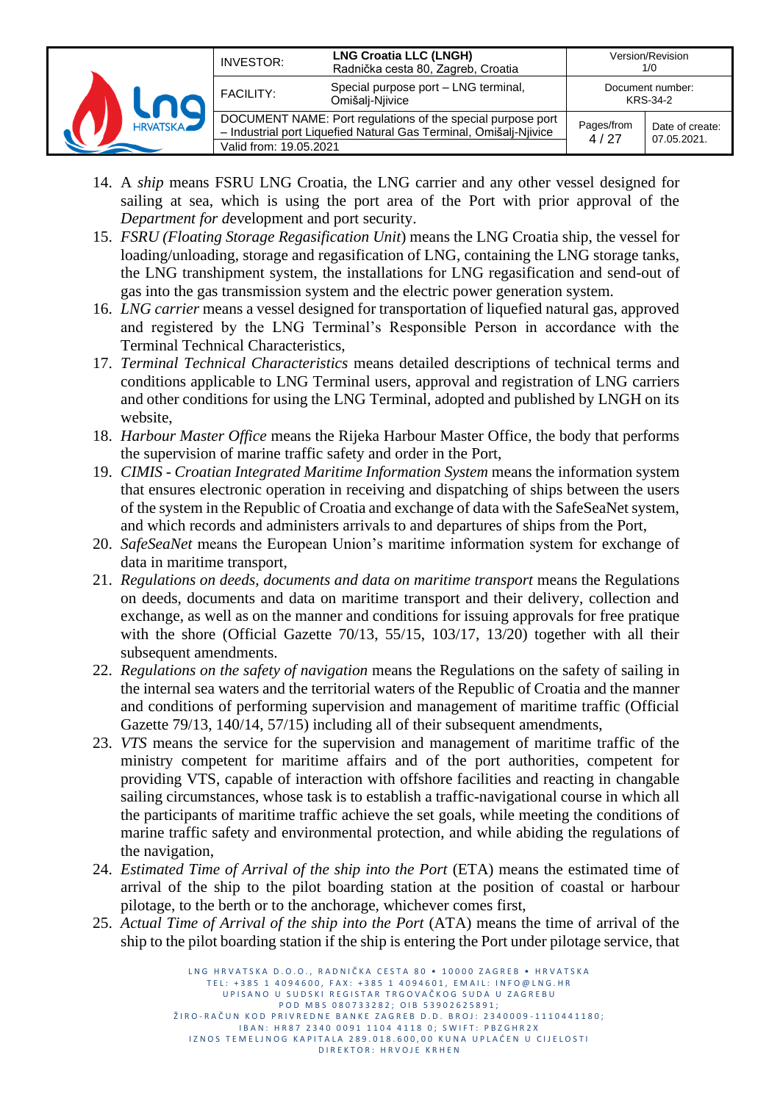|                 | INVESTOR:              | <b>LNG Croatia LLC (LNGH)</b><br>Radnička cesta 80, Zagreb, Croatia                                                              |                              | Version/Revision<br>1/0        |
|-----------------|------------------------|----------------------------------------------------------------------------------------------------------------------------------|------------------------------|--------------------------------|
|                 | <b>FACILITY:</b>       | Special purpose port - LNG terminal,<br>Omišalį-Njivice                                                                          | Document number:<br>KRS-34-2 |                                |
| <b>HRVATSKA</b> | Valid from: 19.05.2021 | DOCUMENT NAME: Port regulations of the special purpose port<br>- Industrial port Liquefied Natural Gas Terminal, Omišalj-Njivice | Pages/from<br>4/27           | Date of create:<br>07.05.2021. |

- 14. A *ship* means FSRU LNG Croatia, the LNG carrier and any other vessel designed for sailing at sea, which is using the port area of the Port with prior approval of the *Department for d*evelopment and port security.
- 15. *FSRU (Floating Storage Regasification Unit*) means the LNG Croatia ship, the vessel for loading/unloading, storage and regasification of LNG, containing the LNG storage tanks, the LNG transhipment system, the installations for LNG regasification and send-out of gas into the gas transmission system and the electric power generation system.
- 16. *LNG carrier* means a vessel designed for transportation of liquefied natural gas, approved and registered by the LNG Terminal's Responsible Person in accordance with the Terminal Technical Characteristics,
- 17. *Terminal Technical Characteristics* means detailed descriptions of technical terms and conditions applicable to LNG Terminal users, approval and registration of LNG carriers and other conditions for using the LNG Terminal, adopted and published by LNGH on its website,
- 18. *Harbour Master Office* means the Rijeka Harbour Master Office, the body that performs the supervision of marine traffic safety and order in the Port,
- 19. *CIMIS - Croatian Integrated Maritime Information System* means the information system that ensures electronic operation in receiving and dispatching of ships between the users of the system in the Republic of Croatia and exchange of data with the SafeSeaNet system, and which records and administers arrivals to and departures of ships from the Port,
- 20. *SafeSeaNet* means the European Union's maritime information system for exchange of data in maritime transport,
- 21. *Regulations on deeds, documents and data on maritime transport* means the Regulations on deeds, documents and data on maritime transport and their delivery, collection and exchange, as well as on the manner and conditions for issuing approvals for free pratique with the shore (Official Gazette 70/13, 55/15, 103/17, 13/20) together with all their subsequent amendments.
- 22. *Regulations on the safety of navigation* means the Regulations on the safety of sailing in the internal sea waters and the territorial waters of the Republic of Croatia and the manner and conditions of performing supervision and management of maritime traffic (Official Gazette 79/13, 140/14, 57/15) including all of their subsequent amendments,
- 23. *VTS* means the service for the supervision and management of maritime traffic of the ministry competent for maritime affairs and of the port authorities, competent for providing VTS, capable of interaction with offshore facilities and reacting in changable sailing circumstances, whose task is to establish a traffic-navigational course in which all the participants of maritime traffic achieve the set goals, while meeting the conditions of marine traffic safety and environmental protection, and while abiding the regulations of the navigation,
- 24. *Estimated Time of Arrival of the ship into the Port* (ETA) means the estimated time of arrival of the ship to the pilot boarding station at the position of coastal or harbour pilotage, to the berth or to the anchorage, whichever comes first,
- 25. *Actual Time of Arrival of the ship into the Port* (ATA) means the time of arrival of the ship to the pilot boarding station if the ship is entering the Port under pilotage service, that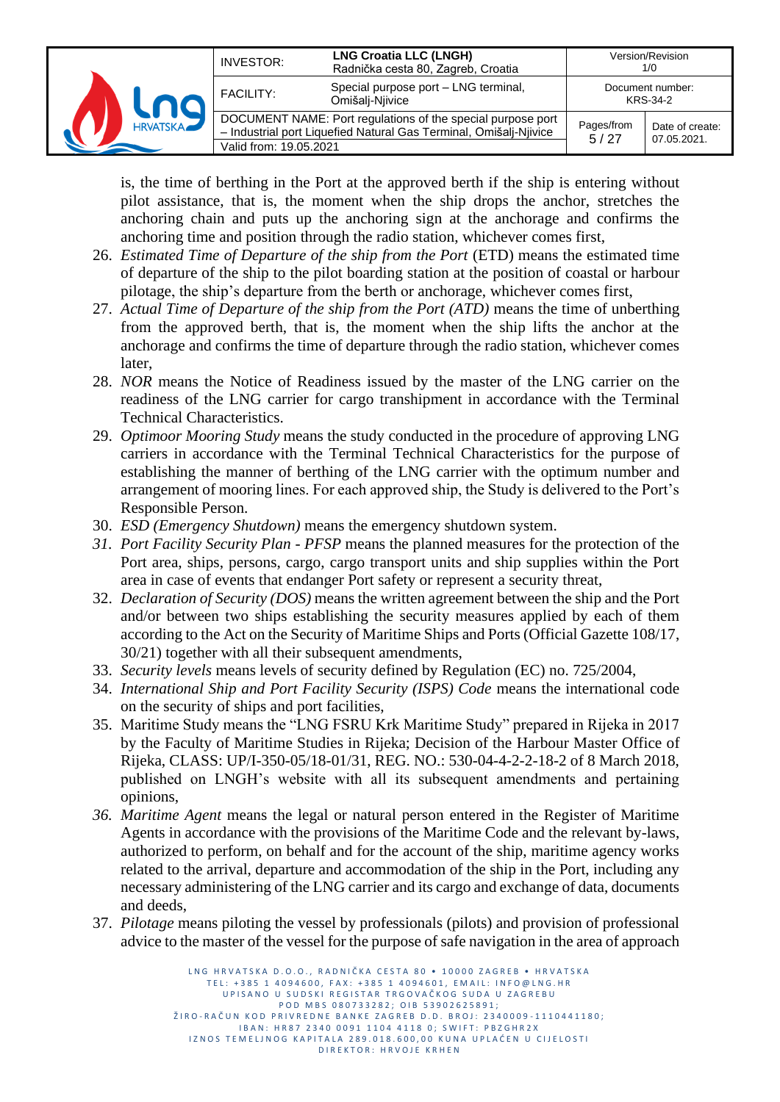|                 | INVESTOR:              | <b>LNG Croatia LLC (LNGH)</b><br>Radnička cesta 80, Zagreb, Croatia                                                              |                    | Version/Revision<br>1/0        |
|-----------------|------------------------|----------------------------------------------------------------------------------------------------------------------------------|--------------------|--------------------------------|
|                 | <b>FACILITY:</b>       | Special purpose port - LNG terminal,<br>Omišalį-Njivice                                                                          |                    | Document number:<br>KRS-34-2   |
| <b>HRVATSKA</b> | Valid from: 19.05.2021 | DOCUMENT NAME: Port regulations of the special purpose port<br>- Industrial port Liquefied Natural Gas Terminal, Omišalj-Njivice | Pages/from<br>5/27 | Date of create:<br>07.05.2021. |

is, the time of berthing in the Port at the approved berth if the ship is entering without pilot assistance, that is, the moment when the ship drops the anchor, stretches the anchoring chain and puts up the anchoring sign at the anchorage and confirms the anchoring time and position through the radio station, whichever comes first,

- 26. *Estimated Time of Departure of the ship from the Port* (ETD) means the estimated time of departure of the ship to the pilot boarding station at the position of coastal or harbour pilotage, the ship's departure from the berth or anchorage, whichever comes first,
- 27. *Actual Time of Departure of the ship from the Port (ATD)* means the time of unberthing from the approved berth, that is, the moment when the ship lifts the anchor at the anchorage and confirms the time of departure through the radio station, whichever comes later,
- 28. *NOR* means the Notice of Readiness issued by the master of the LNG carrier on the readiness of the LNG carrier for cargo transhipment in accordance with the Terminal Technical Characteristics.
- 29. *Optimoor Mooring Study* means the study conducted in the procedure of approving LNG carriers in accordance with the Terminal Technical Characteristics for the purpose of establishing the manner of berthing of the LNG carrier with the optimum number and arrangement of mooring lines. For each approved ship, the Study is delivered to the Port's Responsible Person.
- 30. *ESD (Emergency Shutdown)* means the emergency shutdown system.
- *31. Port Facility Security Plan - PFSP* means the planned measures for the protection of the Port area, ships, persons, cargo, cargo transport units and ship supplies within the Port area in case of events that endanger Port safety or represent a security threat,
- 32. *Declaration of Security (DOS)* means the written agreement between the ship and the Port and/or between two ships establishing the security measures applied by each of them according to the Act on the Security of Maritime Ships and Ports (Official Gazette 108/17, 30/21) together with all their subsequent amendments,
- 33. *Security levels* means levels of security defined by Regulation (EC) no. 725/2004,
- 34. *International Ship and Port Facility Security (ISPS) Code* means the international code on the security of ships and port facilities,
- 35. Maritime Study means the "LNG FSRU Krk Maritime Study" prepared in Rijeka in 2017 by the Faculty of Maritime Studies in Rijeka; Decision of the Harbour Master Office of Rijeka, CLASS: UP/I-350-05/18-01/31, REG. NO.: 530-04-4-2-2-18-2 of 8 March 2018, published on LNGH's website with all its subsequent amendments and pertaining opinions,
- *36. Maritime Agent* means the legal or natural person entered in the Register of Maritime Agents in accordance with the provisions of the Maritime Code and the relevant by-laws, authorized to perform, on behalf and for the account of the ship, maritime agency works related to the arrival, departure and accommodation of the ship in the Port, including any necessary administering of the LNG carrier and its cargo and exchange of data, documents and deeds,
- 37. *Pilotage* means piloting the vessel by professionals (pilots) and provision of professional advice to the master of the vessel for the purpose of safe navigation in the area of approach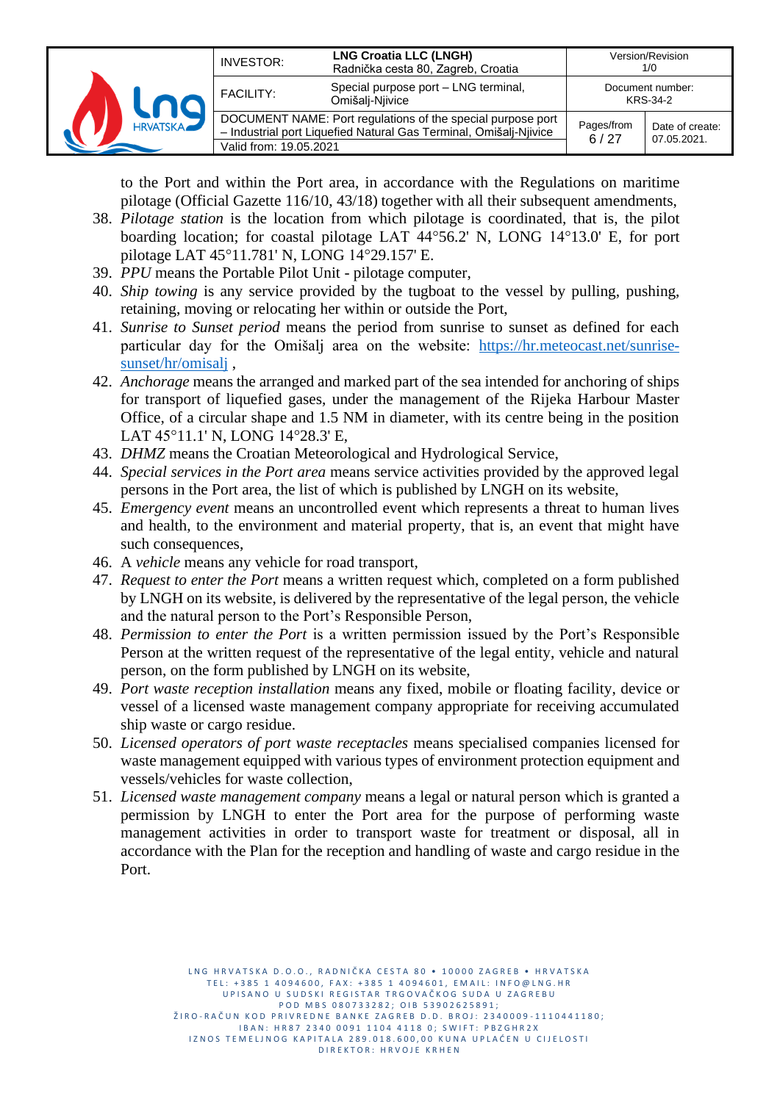|                 | INVESTOR:              | <b>LNG Croatia LLC (LNGH)</b><br>Radnička cesta 80, Zagreb, Croatia                                                              |                    | Version/Revision<br>1/0        |
|-----------------|------------------------|----------------------------------------------------------------------------------------------------------------------------------|--------------------|--------------------------------|
|                 | <b>FACILITY:</b>       | Special purpose port - LNG terminal,<br>Omišalį-Njivice                                                                          |                    | Document number:<br>KRS-34-2   |
| <b>HRVATSKA</b> | Valid from: 19.05.2021 | DOCUMENT NAME: Port regulations of the special purpose port<br>- Industrial port Liquefied Natural Gas Terminal, Omišalj-Njivice | Pages/from<br>6/27 | Date of create:<br>07.05.2021. |

to the Port and within the Port area, in accordance with the Regulations on maritime pilotage (Official Gazette 116/10, 43/18) together with all their subsequent amendments,

- 38. *Pilotage station* is the location from which pilotage is coordinated, that is, the pilot boarding location; for coastal pilotage LAT 44°56.2' N, LONG 14°13.0' E, for port pilotage LAT 45°11.781' N, LONG 14°29.157' E.
- 39. *PPU* means the Portable Pilot Unit pilotage computer,
- 40. *Ship towing* is any service provided by the tugboat to the vessel by pulling, pushing, retaining, moving or relocating her within or outside the Port,
- 41. *Sunrise to Sunset period* means the period from sunrise to sunset as defined for each particular day for the Omišalj area on the website: [https://hr.meteocast.net/sunrise](https://hr.meteocast.net/sunrise-sunset/hr/omisalj)[sunset/hr/omisalj](https://hr.meteocast.net/sunrise-sunset/hr/omisalj) ,
- 42. *Anchorage* means the arranged and marked part of the sea intended for anchoring of ships for transport of liquefied gases, under the management of the Rijeka Harbour Master Office, of a circular shape and 1.5 NM in diameter, with its centre being in the position LAT 45°11.1' N, LONG 14°28.3' E,
- 43. *DHMZ* means the Croatian Meteorological and Hydrological Service,
- 44. *Special services in the Port area* means service activities provided by the approved legal persons in the Port area, the list of which is published by LNGH on its website,
- 45. *Emergency event* means an uncontrolled event which represents a threat to human lives and health, to the environment and material property, that is, an event that might have such consequences,
- 46. A *vehicle* means any vehicle for road transport,
- 47. *Request to enter the Port* means a written request which, completed on a form published by LNGH on its website, is delivered by the representative of the legal person, the vehicle and the natural person to the Port's Responsible Person,
- 48. *Permission to enter the Port* is a written permission issued by the Port's Responsible Person at the written request of the representative of the legal entity, vehicle and natural person, on the form published by LNGH on its website,
- 49. *Port waste reception installation* means any fixed, mobile or floating facility, device or vessel of a licensed waste management company appropriate for receiving accumulated ship waste or cargo residue.
- 50. *Licensed operators of port waste receptacles* means specialised companies licensed for waste management equipped with various types of environment protection equipment and vessels/vehicles for waste collection,
- 51. *Licensed waste management company* means a legal or natural person which is granted a permission by LNGH to enter the Port area for the purpose of performing waste management activities in order to transport waste for treatment or disposal, all in accordance with the Plan for the reception and handling of waste and cargo residue in the Port.

L N G H R V A T S K A D O . O . R A D N I Č K A C E S T A 80 · 10000 Z A G R E R · H R V A T S K A TEL: +385 1 4094600, FAX: +385 1 4094601, EMAIL: INFO@LNG.HR UPISANO U SUDSKI REGISTAR TRGOVAČKOG SUDA U ZAGREBU P O D M B S 0 8 0 7 3 3 2 8 2 ; O I B 5 3 9 0 2 6 2 5 8 9 1 ; ŽIRO-RAČUN KOD PRIVREDNE BANKE ZAGREB D.D. BROJ: 2340009-1110441180; IBAN: HR87 2340 0091 1104 4118 0; SWIFT: PBZGHR2X IZNOS TEMELJNOG KAPITALA 289.018.600,00 KUNA UPLAĆEN U CIJELOSTI D I R E K T O R : H R V O J E K R H E N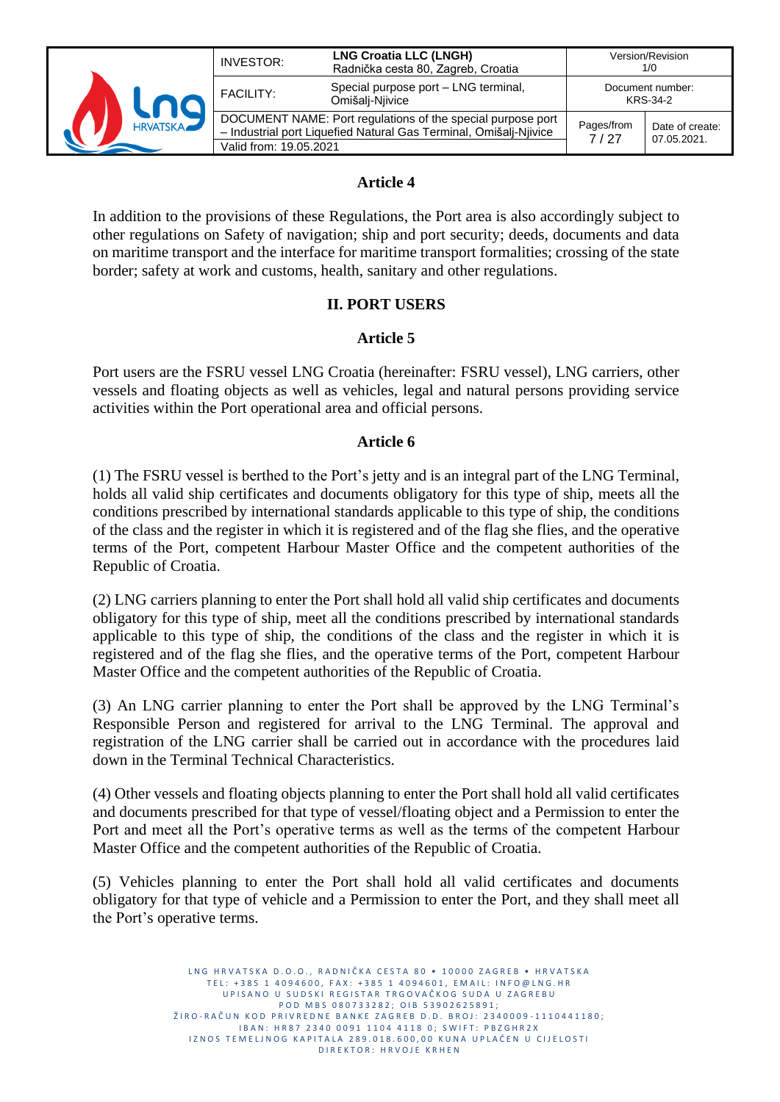

#### **Article 4**

In addition to the provisions of these Regulations, the Port area is also accordingly subject to other regulations on Safety of navigation; ship and port security; deeds, documents and data on maritime transport and the interface for maritime transport formalities; crossing of the state border; safety at work and customs, health, sanitary and other regulations.

#### **II. PORT USERS**

#### **Article 5**

Port users are the FSRU vessel LNG Croatia (hereinafter: FSRU vessel), LNG carriers, other vessels and floating objects as well as vehicles, legal and natural persons providing service activities within the Port operational area and official persons.

#### **Article 6**

(1) The FSRU vessel is berthed to the Port's jetty and is an integral part of the LNG Terminal, holds all valid ship certificates and documents obligatory for this type of ship, meets all the conditions prescribed by international standards applicable to this type of ship, the conditions of the class and the register in which it is registered and of the flag she flies, and the operative terms of the Port, competent Harbour Master Office and the competent authorities of the Republic of Croatia.

(2) LNG carriers planning to enter the Port shall hold all valid ship certificates and documents obligatory for this type of ship, meet all the conditions prescribed by international standards applicable to this type of ship, the conditions of the class and the register in which it is registered and of the flag she flies, and the operative terms of the Port, competent Harbour Master Office and the competent authorities of the Republic of Croatia.

(3) An LNG carrier planning to enter the Port shall be approved by the LNG Terminal's Responsible Person and registered for arrival to the LNG Terminal. The approval and registration of the LNG carrier shall be carried out in accordance with the procedures laid down in the Terminal Technical Characteristics.

(4) Other vessels and floating objects planning to enter the Port shall hold all valid certificates and documents prescribed for that type of vessel/floating object and a Permission to enter the Port and meet all the Port's operative terms as well as the terms of the competent Harbour Master Office and the competent authorities of the Republic of Croatia.

(5) Vehicles planning to enter the Port shall hold all valid certificates and documents obligatory for that type of vehicle and a Permission to enter the Port, and they shall meet all the Port's operative terms.

> LNG HRVATSKA D.O.O., RADNIČKA CESTA 80 · 10000 ZAGREB · HRVATSKA TEL: +385 1 4094600, FAX: +385 1 4094601, EMAIL: INFO@LNG.HR UP I SANO U SUD SKI REGISTAR TRGOVAČKOG SUDA U ZAGREBU P O D M B S 0 8 0 7 3 3 2 8 2 ; O I B 5 3 9 0 2 6 2 5 8 9 1 ; ŽIRO-RAČUN KOD PRIVREDNE BANKE ZAGREB D.D. BROJ: 2340009-1110441180; IBAN: HR87 2340 0091 1104 4118 0; SWIFT: PBZGHR2X IZNOS TEMELJNOG KAPITALA 289.018.600,00 KUNA UPLAĆEN U CIJELOSTI D I R E K T O R : H R V O J E K R H E N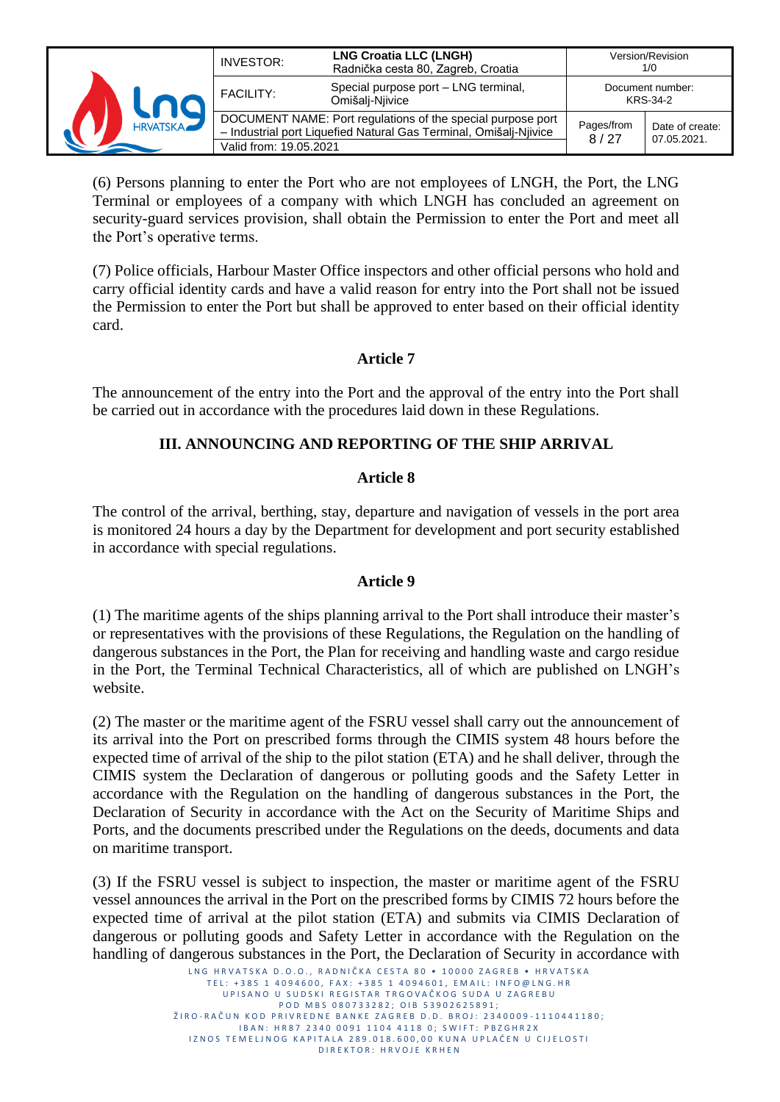|                 | INVESTOR:              | <b>LNG Croatia LLC (LNGH)</b><br>Radnička cesta 80, Zagreb, Croatia                                                              |                    | Version/Revision<br>1/0        |
|-----------------|------------------------|----------------------------------------------------------------------------------------------------------------------------------|--------------------|--------------------------------|
|                 | <b>FACILITY:</b>       | Special purpose port - LNG terminal,<br>Omišalį-Njivice                                                                          |                    | Document number:<br>KRS-34-2   |
| <b>HRVATSKA</b> | Valid from: 19.05.2021 | DOCUMENT NAME: Port regulations of the special purpose port<br>- Industrial port Liquefied Natural Gas Terminal, Omišalj-Njivice | Pages/from<br>8/27 | Date of create:<br>07.05.2021. |

(6) Persons planning to enter the Port who are not employees of LNGH, the Port, the LNG Terminal or employees of a company with which LNGH has concluded an agreement on security-guard services provision, shall obtain the Permission to enter the Port and meet all the Port's operative terms.

(7) Police officials, Harbour Master Office inspectors and other official persons who hold and carry official identity cards and have a valid reason for entry into the Port shall not be issued the Permission to enter the Port but shall be approved to enter based on their official identity card.

## **Article 7**

The announcement of the entry into the Port and the approval of the entry into the Port shall be carried out in accordance with the procedures laid down in these Regulations.

## **III. ANNOUNCING AND REPORTING OF THE SHIP ARRIVAL**

#### **Article 8**

The control of the arrival, berthing, stay, departure and navigation of vessels in the port area is monitored 24 hours a day by the Department for development and port security established in accordance with special regulations.

## **Article 9**

(1) The maritime agents of the ships planning arrival to the Port shall introduce their master's or representatives with the provisions of these Regulations, the Regulation on the handling of dangerous substances in the Port, the Plan for receiving and handling waste and cargo residue in the Port, the Terminal Technical Characteristics, all of which are published on LNGH's website.

(2) The master or the maritime agent of the FSRU vessel shall carry out the announcement of its arrival into the Port on prescribed forms through the CIMIS system 48 hours before the expected time of arrival of the ship to the pilot station (ETA) and he shall deliver, through the CIMIS system the Declaration of dangerous or polluting goods and the Safety Letter in accordance with the Regulation on the handling of dangerous substances in the Port, the Declaration of Security in accordance with the Act on the Security of Maritime Ships and Ports, and the documents prescribed under the Regulations on the deeds, documents and data on maritime transport.

(3) If the FSRU vessel is subject to inspection, the master or maritime agent of the FSRU vessel announces the arrival in the Port on the prescribed forms by CIMIS 72 hours before the expected time of arrival at the pilot station (ETA) and submits via CIMIS Declaration of dangerous or polluting goods and Safety Letter in accordance with the Regulation on the handling of dangerous substances in the Port, the Declaration of Security in accordance with

> L<br>LNG HRVATSKA D O O . RADNIČKA CESTA 80 • 10000 ZAGREB • HRVATSKA TEL: +385 1 4094600, FAX: +385 1 4094601, EMAIL: INFO@LNG.HR UP I SANO U SUDSKI REGISTAR TRGOVAČKOG SUDA U ZAGREBU P O D M B S 0 8 0 7 3 3 2 8 2 ; O I B 5 3 9 0 2 6 2 5 8 9 1 ; ŽIRO-RAČUN KOD PRIVREDNE BANKE ZAGREB D.D. BROJ: 2340009-1110441180; IBAN: HR87 2340 0091 1104 4118 0; SWIFT: PBZGHR2X IZNOS TEMELJNOG KAPITALA 289.018.600,00 KUNA UPLAĆEN U CIJELOSTI D I R E K T O R : H R V O J E K R H E N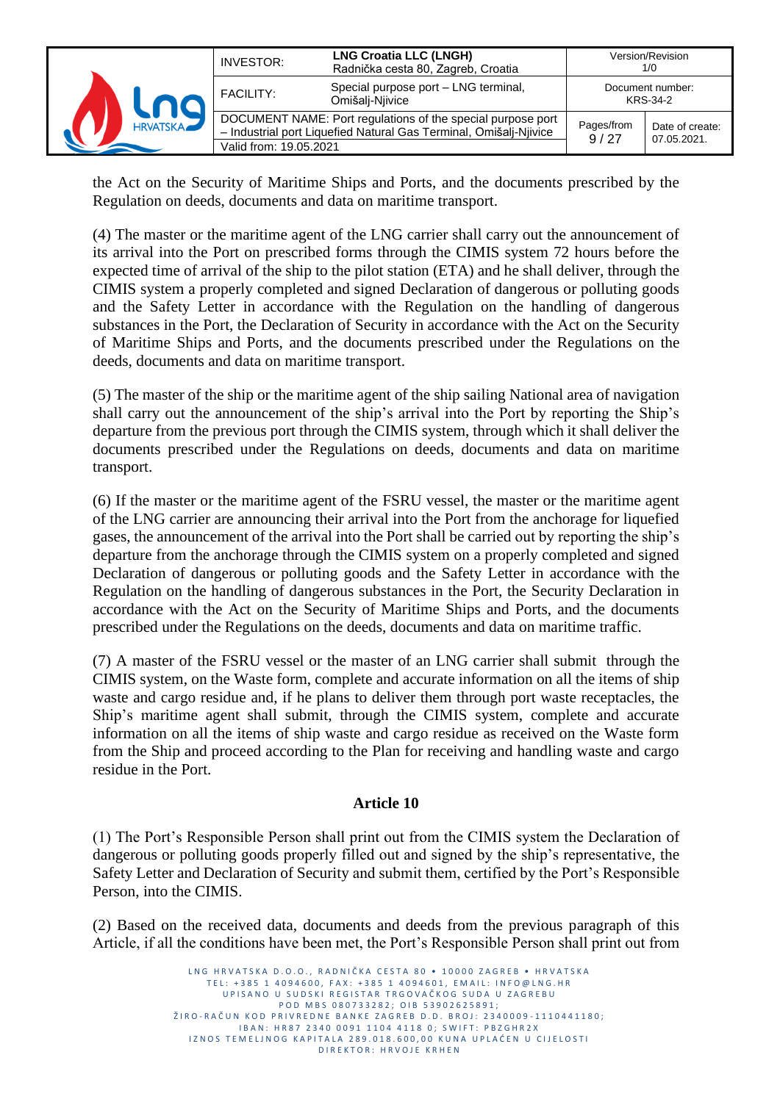|                 | INVESTOR:              | <b>LNG Croatia LLC (LNGH)</b><br>Radnička cesta 80, Zagreb, Croatia                                                              |                    | Version/Revision<br>1/0        |
|-----------------|------------------------|----------------------------------------------------------------------------------------------------------------------------------|--------------------|--------------------------------|
|                 | <b>FACILITY:</b>       | Special purpose port - LNG terminal,<br>Omišalį-Njivice                                                                          |                    | Document number:<br>KRS-34-2   |
| <b>HRVATSKA</b> | Valid from: 19.05.2021 | DOCUMENT NAME: Port regulations of the special purpose port<br>- Industrial port Liquefied Natural Gas Terminal, Omišalj-Njivice | Pages/from<br>9/27 | Date of create:<br>07.05.2021. |

the Act on the Security of Maritime Ships and Ports, and the documents prescribed by the Regulation on deeds, documents and data on maritime transport.

(4) The master or the maritime agent of the LNG carrier shall carry out the announcement of its arrival into the Port on prescribed forms through the CIMIS system 72 hours before the expected time of arrival of the ship to the pilot station (ETA) and he shall deliver, through the CIMIS system a properly completed and signed Declaration of dangerous or polluting goods and the Safety Letter in accordance with the Regulation on the handling of dangerous substances in the Port, the Declaration of Security in accordance with the Act on the Security of Maritime Ships and Ports, and the documents prescribed under the Regulations on the deeds, documents and data on maritime transport.

(5) The master of the ship or the maritime agent of the ship sailing National area of navigation shall carry out the announcement of the ship's arrival into the Port by reporting the Ship's departure from the previous port through the CIMIS system, through which it shall deliver the documents prescribed under the Regulations on deeds, documents and data on maritime transport.

(6) If the master or the maritime agent of the FSRU vessel, the master or the maritime agent of the LNG carrier are announcing their arrival into the Port from the anchorage for liquefied gases, the announcement of the arrival into the Port shall be carried out by reporting the ship's departure from the anchorage through the CIMIS system on a properly completed and signed Declaration of dangerous or polluting goods and the Safety Letter in accordance with the Regulation on the handling of dangerous substances in the Port, the Security Declaration in accordance with the Act on the Security of Maritime Ships and Ports, and the documents prescribed under the Regulations on the deeds, documents and data on maritime traffic.

(7) A master of the FSRU vessel or the master of an LNG carrier shall submit through the CIMIS system, on the Waste form, complete and accurate information on all the items of ship waste and cargo residue and, if he plans to deliver them through port waste receptacles, the Ship's maritime agent shall submit, through the CIMIS system, complete and accurate information on all the items of ship waste and cargo residue as received on the Waste form from the Ship and proceed according to the Plan for receiving and handling waste and cargo residue in the Port.

#### **Article 10**

(1) The Port's Responsible Person shall print out from the CIMIS system the Declaration of dangerous or polluting goods properly filled out and signed by the ship's representative, the Safety Letter and Declaration of Security and submit them, certified by the Port's Responsible Person, into the CIMIS.

(2) Based on the received data, documents and deeds from the previous paragraph of this Article, if all the conditions have been met, the Port's Responsible Person shall print out from

> L N G H R V A T S K A D O . O . R A D N I Č K A C E S T A 80 · 10000 Z A G R E R · H R V A T S K A TEL: +385 1 4094600, FAX: +385 1 4094601, EMAIL: INFO@LNG.HR U P I SA NO U SUD SKI REGISTAR TRGOVAČKOG SUDA U ZAGREBU P O D M B S 0 8 0 7 3 3 2 8 2 ; O I B 5 3 9 0 2 6 2 5 8 9 1 ; Ž I R O - R A Č U N K O D P R I V R E D N E B A N K E Z A G R E B D . D . B R O J : 23 4 0 0 0 9 - 1110 4 4 1180 ; I B A N : H R 8 7 2 3 4 0 0 0 9 1 1 1 0 4 4 1 1 8 0 ; S W I F T : P B Z G H R 2 X IZNOS TEMELJNOG KAPITALA 289.018.600,00 KUNA UPLAĆEN U CIJELOSTI D I R E K T O R : H R V O J E K R H E N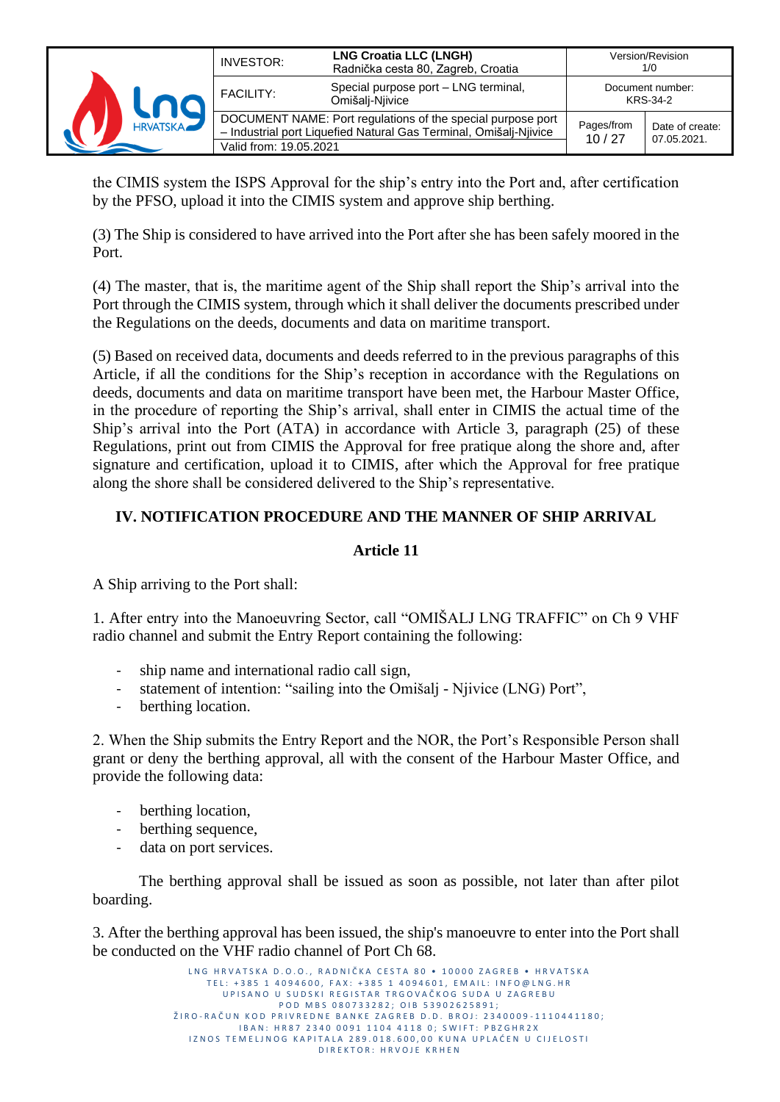

the CIMIS system the ISPS Approval for the ship's entry into the Port and, after certification by the PFSO, upload it into the CIMIS system and approve ship berthing.

(3) The Ship is considered to have arrived into the Port after she has been safely moored in the Port.

(4) The master, that is, the maritime agent of the Ship shall report the Ship's arrival into the Port through the CIMIS system, through which it shall deliver the documents prescribed under the Regulations on the deeds, documents and data on maritime transport.

(5) Based on received data, documents and deeds referred to in the previous paragraphs of this Article, if all the conditions for the Ship's reception in accordance with the Regulations on deeds, documents and data on maritime transport have been met, the Harbour Master Office, in the procedure of reporting the Ship's arrival, shall enter in CIMIS the actual time of the Ship's arrival into the Port (ATA) in accordance with Article 3, paragraph (25) of these Regulations, print out from CIMIS the Approval for free pratique along the shore and, after signature and certification, upload it to CIMIS, after which the Approval for free pratique along the shore shall be considered delivered to the Ship's representative.

## **IV. NOTIFICATION PROCEDURE AND THE MANNER OF SHIP ARRIVAL**

### **Article 11**

A Ship arriving to the Port shall:

1. After entry into the Manoeuvring Sector, call "OMIŠALJ LNG TRAFFIC" on Ch 9 VHF radio channel and submit the Entry Report containing the following:

- ship name and international radio call sign,
- statement of intention: "sailing into the Omišalj Njivice (LNG) Port",
- berthing location.

2. When the Ship submits the Entry Report and the NOR, the Port's Responsible Person shall grant or deny the berthing approval, all with the consent of the Harbour Master Office, and provide the following data:

- berthing location,
- berthing sequence,
- data on port services.

The berthing approval shall be issued as soon as possible, not later than after pilot boarding.

3. After the berthing approval has been issued, the ship's manoeuvre to enter into the Port shall be conducted on the VHF radio channel of Port Ch 68.

> L N G HR V A T S K A D O . O . R A D N I Č K A C F S T A 80 · 10000 Z A G R F B · HR V A T S K A TEL: +385 1 4094600, FAX: +385 1 4094601, EMAIL: INFO@LNG.HR UP I SANO U SUDSKI REGISTAR TRGOVAČKOG SUDA U ZAGREBU P O D M B S 0 8 0 7 3 3 2 8 2 ; O I B 5 3 9 0 2 6 2 5 8 9 1 ; ŽIRO-RAČUN KOD PRIVREDNE BANKE ZAGREB D.D. BROJ: 2340009-1110441180; IBAN: HR87 2340 0091 1104 4118 0; SWIFT: PBZGHR2X IZNOS TEMELJNOG KAPITALA 289.018.600,00 KUNA UPLAĆEN U CIJELOSTI D I R E K T O R : H R V O J E K R H E N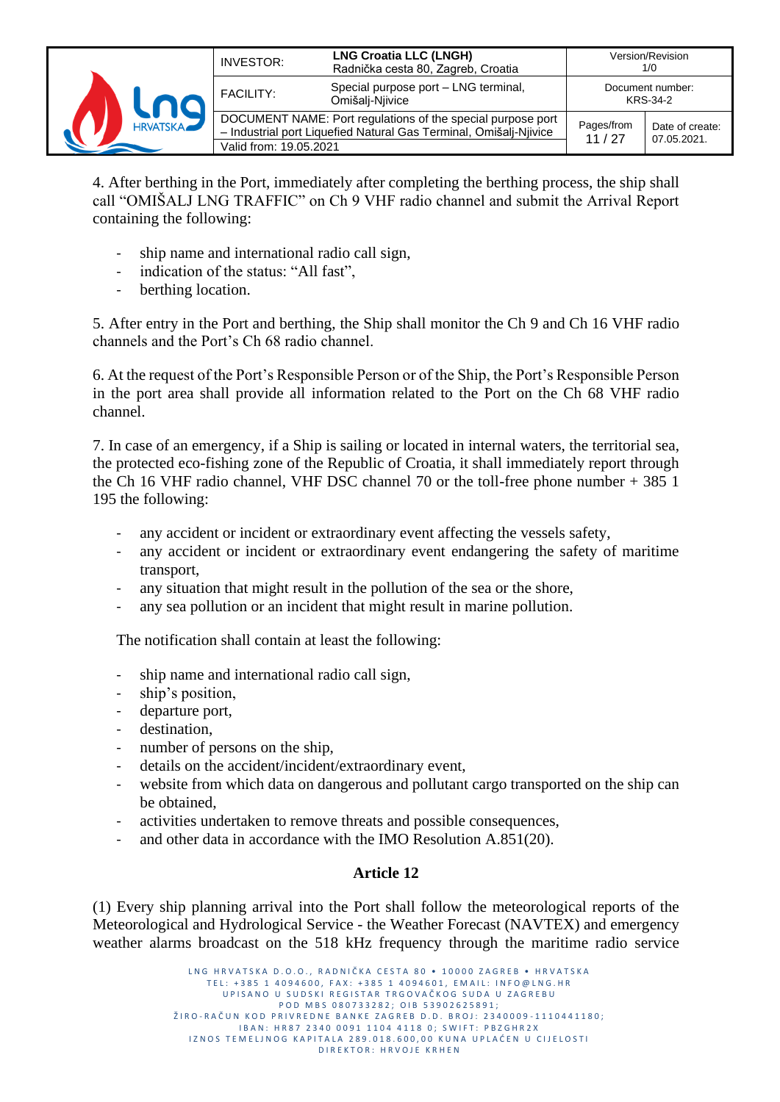

4. After berthing in the Port, immediately after completing the berthing process, the ship shall call "OMIŠALJ LNG TRAFFIC" on Ch 9 VHF radio channel and submit the Arrival Report containing the following:

- ship name and international radio call sign,
- indication of the status: "All fast",
- berthing location.

5. After entry in the Port and berthing, the Ship shall monitor the Ch 9 and Ch 16 VHF radio channels and the Port's Ch 68 radio channel.

6. At the request of the Port's Responsible Person or of the Ship, the Port's Responsible Person in the port area shall provide all information related to the Port on the Ch 68 VHF radio channel.

7. In case of an emergency, if a Ship is sailing or located in internal waters, the territorial sea, the protected eco-fishing zone of the Republic of Croatia, it shall immediately report through the Ch 16 VHF radio channel, VHF DSC channel 70 or the toll-free phone number + 385 1 195 the following:

- any accident or incident or extraordinary event affecting the vessels safety,
- any accident or incident or extraordinary event endangering the safety of maritime transport,
- any situation that might result in the pollution of the sea or the shore,
- any sea pollution or an incident that might result in marine pollution.

The notification shall contain at least the following:

- ship name and international radio call sign,
- ship's position,
- departure port,
- destination,
- number of persons on the ship,
- details on the accident/incident/extraordinary event,
- website from which data on dangerous and pollutant cargo transported on the ship can be obtained,
- activities undertaken to remove threats and possible consequences,
- and other data in accordance with the IMO Resolution A.851(20).

#### **Article 12**

(1) Every ship planning arrival into the Port shall follow the meteorological reports of the Meteorological and Hydrological Service - the Weather Forecast (NAVTEX) and emergency weather alarms broadcast on the 518 kHz frequency through the maritime radio service

> LNG HRVATSKA D.O.O., RADNIČKA CESTA 80 · 10000 ZAGREB · HRVATSKA TEL: +385 1 4094600, FAX: +385 1 4094601, EMAIL: INFO@LNG.HR UP I SANO U SUD SKI REGISTAR TRGOVAČKOG SUDA U ZAGREBU P O D M B S 0 8 0 7 3 3 2 8 2 ; O I B 5 3 9 0 2 6 2 5 8 9 1 ; ŽIRO-RAČUN KOD PRIVREDNE BANKE ZAGREB D.D. BROJ: 2340009-1110441180; I B A N : H R 8 7 2 3 4 0 0 0 9 1 1 1 0 4 4 1 1 8 0 ; S W I F T : P B Z G H R 2 X IZNOS TEMELJNOG KAPITALA 289.018.600,00 KUNA UPLAĆEN U CIJELOSTI D I R E K T O R : H R V O J E K R H E N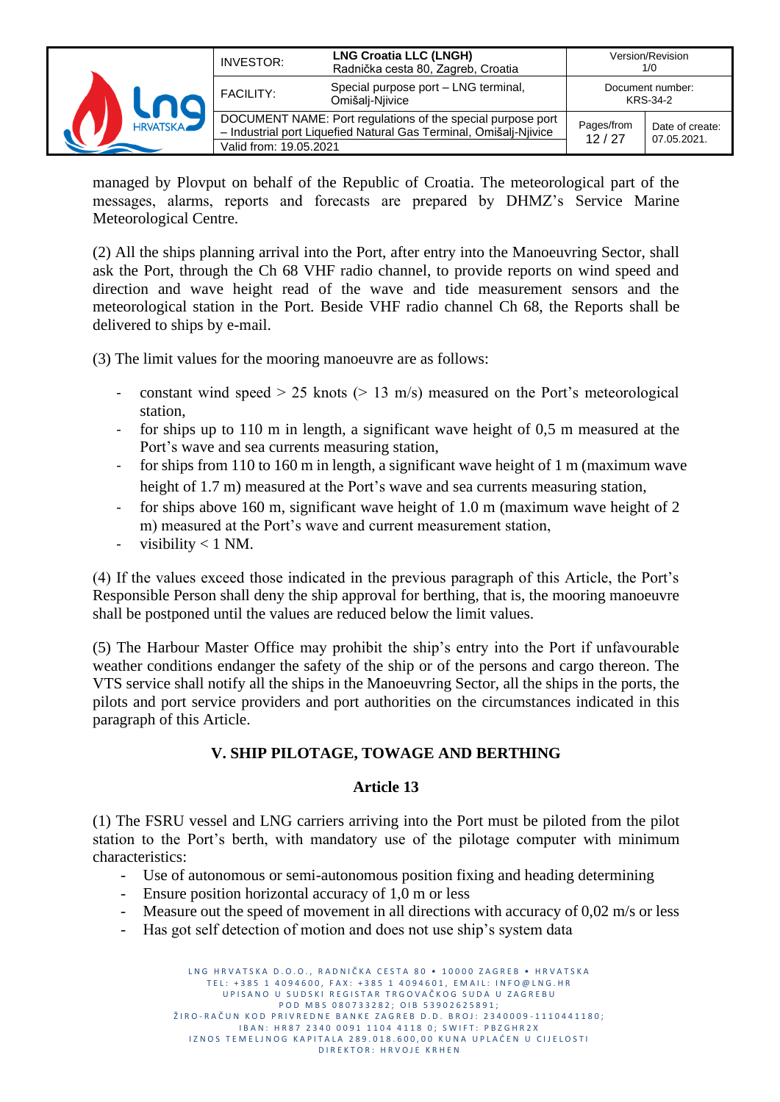|                 | INVESTOR:              | <b>LNG Croatia LLC (LNGH)</b><br>Radnička cesta 80, Zagreb, Croatia                                                              |                     | Version/Revision<br>1/0        |
|-----------------|------------------------|----------------------------------------------------------------------------------------------------------------------------------|---------------------|--------------------------------|
|                 | <b>FACILITY:</b>       | Special purpose port - LNG terminal,<br>Omišalį-Niivice                                                                          |                     | Document number:<br>KRS-34-2   |
| <b>HRVATSKA</b> | Valid from: 19.05.2021 | DOCUMENT NAME: Port regulations of the special purpose port<br>- Industrial port Liquefied Natural Gas Terminal, Omišalj-Njivice | Pages/from<br>12/27 | Date of create:<br>07.05.2021. |

managed by Plovput on behalf of the Republic of Croatia. The meteorological part of the messages, alarms, reports and forecasts are prepared by DHMZ's Service Marine Meteorological Centre.

(2) All the ships planning arrival into the Port, after entry into the Manoeuvring Sector, shall ask the Port, through the Ch 68 VHF radio channel, to provide reports on wind speed and direction and wave height read of the wave and tide measurement sensors and the meteorological station in the Port. Beside VHF radio channel Ch 68, the Reports shall be delivered to ships by e-mail.

(3) The limit values for the mooring manoeuvre are as follows:

- constant wind speed  $> 25$  knots ( $> 13$  m/s) measured on the Port's meteorological station,
- for ships up to 110 m in length, a significant wave height of 0,5 m measured at the Port's wave and sea currents measuring station,
- for ships from 110 to 160 m in length, a significant wave height of 1 m (maximum wave height of 1.7 m) measured at the Port's wave and sea currents measuring station,
- for ships above 160 m, significant wave height of 1.0 m (maximum wave height of 2 m) measured at the Port's wave and current measurement station,
- visibility  $< 1$  NM.

(4) If the values exceed those indicated in the previous paragraph of this Article, the Port's Responsible Person shall deny the ship approval for berthing, that is, the mooring manoeuvre shall be postponed until the values are reduced below the limit values.

(5) The Harbour Master Office may prohibit the ship's entry into the Port if unfavourable weather conditions endanger the safety of the ship or of the persons and cargo thereon. The VTS service shall notify all the ships in the Manoeuvring Sector, all the ships in the ports, the pilots and port service providers and port authorities on the circumstances indicated in this paragraph of this Article.

## **V. SHIP PILOTAGE, TOWAGE AND BERTHING**

## **Article 13**

(1) The FSRU vessel and LNG carriers arriving into the Port must be piloted from the pilot station to the Port's berth, with mandatory use of the pilotage computer with minimum characteristics:

- Use of autonomous or semi-autonomous position fixing and heading determining
- Ensure position horizontal accuracy of 1,0 m or less
- Measure out the speed of movement in all directions with accuracy of  $0.02$  m/s or less
- Has got self detection of motion and does not use ship's system data

L N G HR V A T S K A D O . O . R A D N I Č K A C F S T A 80 · 10000 Z A G R F B · HR V A T S K A TEL: +385 1 4094600, FAX: +385 1 4094601, EMAIL: INFO@LNG.HR UP I SANO U SUDSKI REGISTAR TRGOVAČKOG SUDA U ZAGREBU P O D M B S 0 8 0 7 3 3 2 8 2 ; O I B 5 3 9 0 2 6 2 5 8 9 1 ; ŽIRO-RAČUN KOD PRIVREDNE BANKE ZAGREB D.D. BROJ: 2340009-1110441180; I B A N : H R 8 7 2 3 4 0 0 0 9 1 1 1 0 4 4 1 1 8 0 ; S W I F T : P B Z G H R 2 X IZNOS TEMELJNOG KAPITALA 289.018.600,00 KUNA UPLAĆEN U CIJELOSTI D I R E K T O R : H R V O J E K R H E N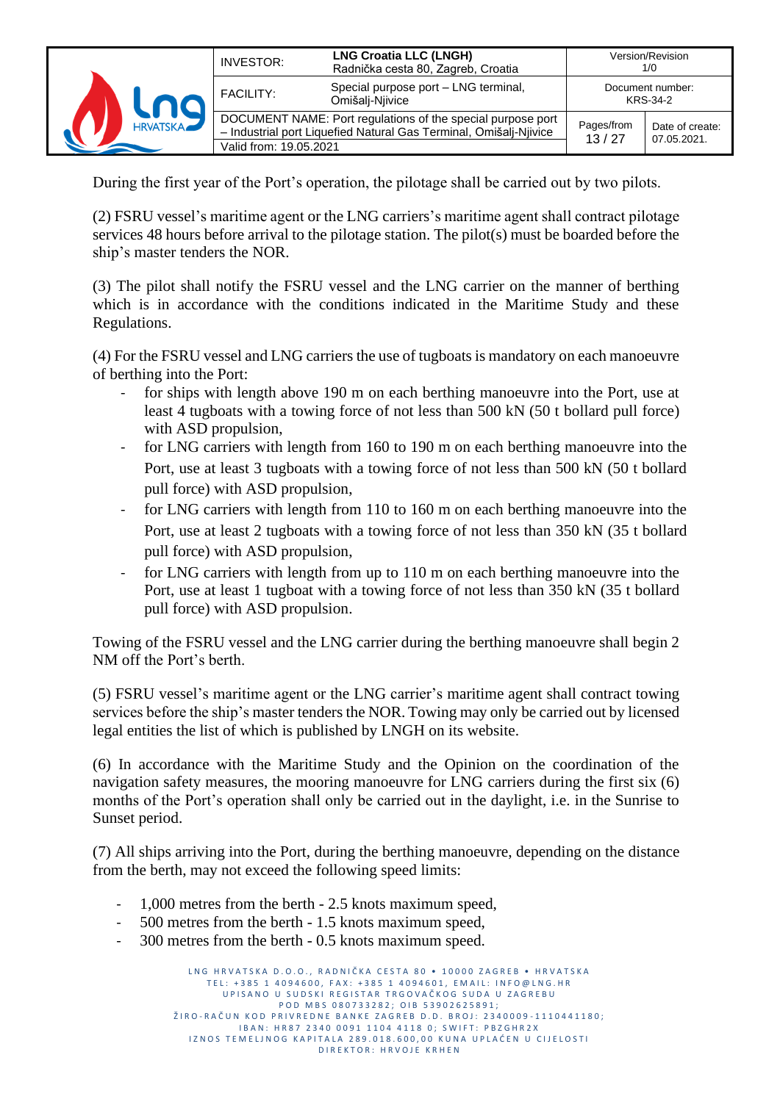|                 | INVESTOR:              | <b>LNG Croatia LLC (LNGH)</b><br>Radnička cesta 80, Zagreb, Croatia                                                              |                     | Version/Revision<br>1/0        |
|-----------------|------------------------|----------------------------------------------------------------------------------------------------------------------------------|---------------------|--------------------------------|
|                 | <b>FACILITY:</b>       | Special purpose port - LNG terminal,<br>Omišalį-Niivice                                                                          |                     | Document number:<br>KRS-34-2   |
| <b>HRVATSKA</b> | Valid from: 19.05.2021 | DOCUMENT NAME: Port regulations of the special purpose port<br>- Industrial port Liquefied Natural Gas Terminal, Omišalj-Njivice | Pages/from<br>13/27 | Date of create:<br>07.05.2021. |

During the first year of the Port's operation, the pilotage shall be carried out by two pilots.

(2) FSRU vessel's maritime agent or the LNG carriers's maritime agent shall contract pilotage services 48 hours before arrival to the pilotage station. The pilot(s) must be boarded before the ship's master tenders the NOR.

(3) The pilot shall notify the FSRU vessel and the LNG carrier on the manner of berthing which is in accordance with the conditions indicated in the Maritime Study and these Regulations.

(4) For the FSRU vessel and LNG carriers the use of tugboats is mandatory on each manoeuvre of berthing into the Port:

- for ships with length above 190 m on each berthing manoeuvre into the Port, use at least 4 tugboats with a towing force of not less than 500 kN (50 t bollard pull force) with ASD propulsion,
- for LNG carriers with length from 160 to 190 m on each berthing manoeuvre into the Port, use at least 3 tugboats with a towing force of not less than 500 kN (50 t bollard pull force) with ASD propulsion,
- for LNG carriers with length from 110 to 160 m on each berthing manoeuvre into the Port, use at least 2 tugboats with a towing force of not less than 350 kN (35 t bollard pull force) with ASD propulsion,
- for LNG carriers with length from up to 110 m on each berthing manoeuvre into the Port, use at least 1 tugboat with a towing force of not less than 350 kN (35 t bollard pull force) with ASD propulsion.

Towing of the FSRU vessel and the LNG carrier during the berthing manoeuvre shall begin 2 NM off the Port's berth.

(5) FSRU vessel's maritime agent or the LNG carrier's maritime agent shall contract towing services before the ship's master tenders the NOR. Towing may only be carried out by licensed legal entities the list of which is published by LNGH on its website.

(6) In accordance with the Maritime Study and the Opinion on the coordination of the navigation safety measures, the mooring manoeuvre for LNG carriers during the first six (6) months of the Port's operation shall only be carried out in the daylight, i.e. in the Sunrise to Sunset period.

(7) All ships arriving into the Port, during the berthing manoeuvre, depending on the distance from the berth, may not exceed the following speed limits:

- 1,000 metres from the berth 2.5 knots maximum speed,
- 500 metres from the berth 1.5 knots maximum speed,
- 300 metres from the berth 0.5 knots maximum speed.

L N G H R V A T S K A D O . O . R A D N I Č K A C E STA 80 · 10000 ZA G R E R · H R V A T S K A TEL: +385 1 4094600, FAX: +385 1 4094601, EMAIL: INFO@LNG.HR UP I SANO U SUDSKI REGISTAR TRGOVAČKOG SUDA U ZAGREBU P O D M B S 0 8 0 7 3 3 2 8 2 ; O I B 5 3 9 0 2 6 2 5 8 9 1 ; ŽIRO-RAČUN KOD PRIVREDNE BANKE ZAGREB D.D. BROJ: 2340009-1110441180; I B A N : H R 8 7 2 3 4 0 0 0 9 1 1 1 0 4 4 1 1 8 0 ; S W I F T : P B Z G H R 2 X IZNOS TEMELJNOG KAPITALA 289.018.600,00 KUNA UPLAĆEN U CIJELOSTI D I R E K T O R : H R V O J E K R H E N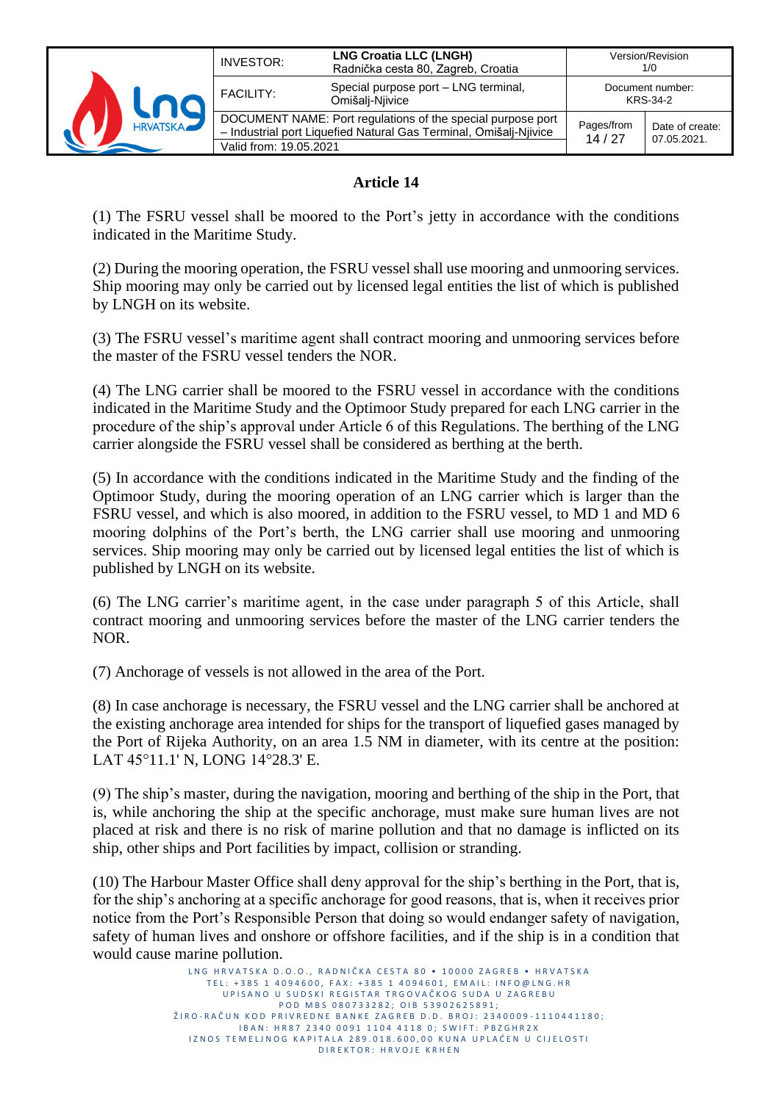

### **Article 14**

(1) The FSRU vessel shall be moored to the Port's jetty in accordance with the conditions indicated in the Maritime Study.

(2) During the mooring operation, the FSRU vessel shall use mooring and unmooring services. Ship mooring may only be carried out by licensed legal entities the list of which is published by LNGH on its website.

(3) The FSRU vessel's maritime agent shall contract mooring and unmooring services before the master of the FSRU vessel tenders the NOR.

(4) The LNG carrier shall be moored to the FSRU vessel in accordance with the conditions indicated in the Maritime Study and the Optimoor Study prepared for each LNG carrier in the procedure of the ship's approval under Article 6 of this Regulations. The berthing of the LNG carrier alongside the FSRU vessel shall be considered as berthing at the berth.

(5) In accordance with the conditions indicated in the Maritime Study and the finding of the Optimoor Study, during the mooring operation of an LNG carrier which is larger than the FSRU vessel, and which is also moored, in addition to the FSRU vessel, to MD 1 and MD 6 mooring dolphins of the Port's berth, the LNG carrier shall use mooring and unmooring services. Ship mooring may only be carried out by licensed legal entities the list of which is published by LNGH on its website.

(6) The LNG carrier's maritime agent, in the case under paragraph 5 of this Article, shall contract mooring and unmooring services before the master of the LNG carrier tenders the NOR.

(7) Anchorage of vessels is not allowed in the area of the Port.

(8) In case anchorage is necessary, the FSRU vessel and the LNG carrier shall be anchored at the existing anchorage area intended for ships for the transport of liquefied gases managed by the Port of Rijeka Authority, on an area 1.5 NM in diameter, with its centre at the position: LAT 45°11.1' N, LONG 14°28.3' E.

(9) The ship's master, during the navigation, mooring and berthing of the ship in the Port, that is, while anchoring the ship at the specific anchorage, must make sure human lives are not placed at risk and there is no risk of marine pollution and that no damage is inflicted on its ship, other ships and Port facilities by impact, collision or stranding.

(10) The Harbour Master Office shall deny approval for the ship's berthing in the Port, that is, for the ship's anchoring at a specific anchorage for good reasons, that is, when it receives prior notice from the Port's Responsible Person that doing so would endanger safety of navigation, safety of human lives and onshore or offshore facilities, and if the ship is in a condition that would cause marine pollution.

> L N G HR V A T S K A D . O . O . . R A D N I Č K A C E S T A 80 · 10000 Z A G R E B · H R V A T S K A TEL: +385 1 4094600, FAX: +385 1 4094601, EMAIL: INFO@LNG.HR U P I SA NO U SUD SKI REGISTAR TRGOVAČKOG SUDA U ZAGREBU P O D M B S 0 8 0 7 3 3 2 8 2 ; O I B 5 3 9 0 2 6 2 5 8 9 1 ; ŽIRO-RAČUN KOD PRIVREDNE BANKE ZAGREB D.D. BROJ: 2340009-1110441180; IBAN: HR87 2340 0091 1104 4118 0; SWIFT: PBZGHR2X IZNOS TEMELJNOG KAPITALA 289.018.600,00 KUNA UPLAĆEN U CIJELOSTI D I R E K T O R : H R V O J E K R H E N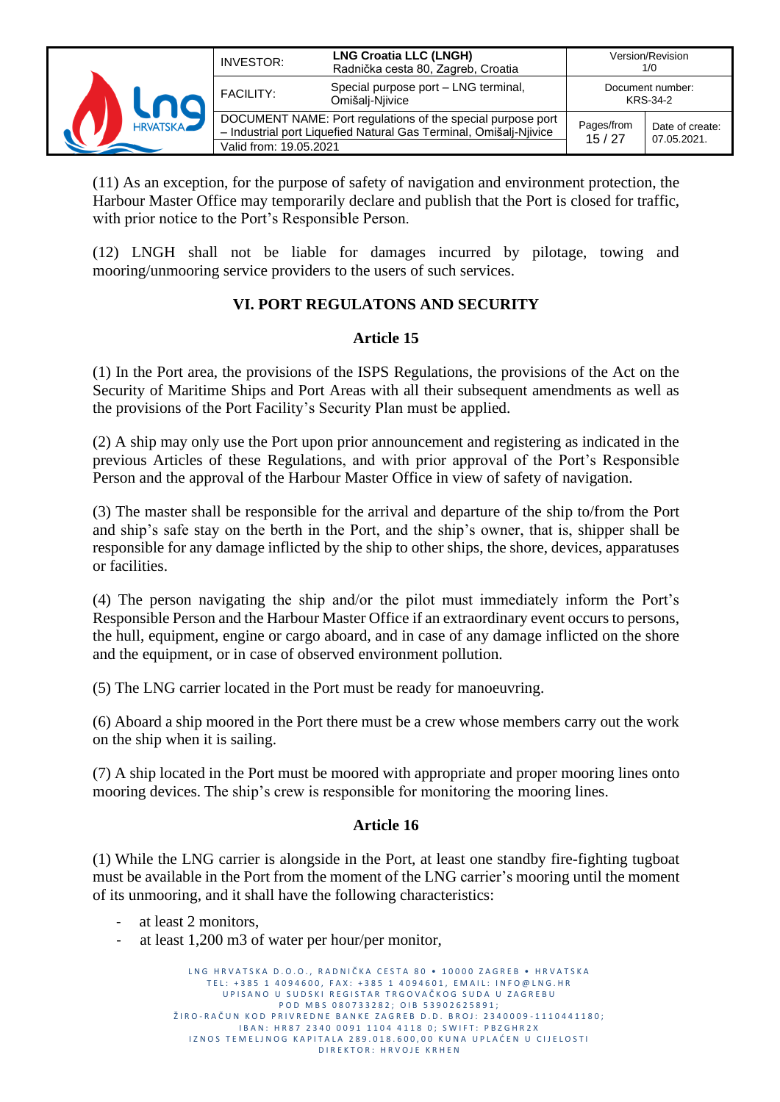

(11) As an exception, for the purpose of safety of navigation and environment protection, the Harbour Master Office may temporarily declare and publish that the Port is closed for traffic, with prior notice to the Port's Responsible Person.

(12) LNGH shall not be liable for damages incurred by pilotage, towing and mooring/unmooring service providers to the users of such services.

## **VI. PORT REGULATONS AND SECURITY**

#### **Article 15**

(1) In the Port area, the provisions of the ISPS Regulations, the provisions of the Act on the Security of Maritime Ships and Port Areas with all their subsequent amendments as well as the provisions of the Port Facility's Security Plan must be applied.

(2) A ship may only use the Port upon prior announcement and registering as indicated in the previous Articles of these Regulations, and with prior approval of the Port's Responsible Person and the approval of the Harbour Master Office in view of safety of navigation.

(3) The master shall be responsible for the arrival and departure of the ship to/from the Port and ship's safe stay on the berth in the Port, and the ship's owner, that is, shipper shall be responsible for any damage inflicted by the ship to other ships, the shore, devices, apparatuses or facilities.

(4) The person navigating the ship and/or the pilot must immediately inform the Port's Responsible Person and the Harbour Master Office if an extraordinary event occurs to persons, the hull, equipment, engine or cargo aboard, and in case of any damage inflicted on the shore and the equipment, or in case of observed environment pollution.

(5) The LNG carrier located in the Port must be ready for manoeuvring.

(6) Aboard a ship moored in the Port there must be a crew whose members carry out the work on the ship when it is sailing.

(7) A ship located in the Port must be moored with appropriate and proper mooring lines onto mooring devices. The ship's crew is responsible for monitoring the mooring lines.

#### **Article 16**

(1) While the LNG carrier is alongside in the Port, at least one standby fire-fighting tugboat must be available in the Port from the moment of the LNG carrier's mooring until the moment of its unmooring, and it shall have the following characteristics:

- at least 2 monitors,
- at least 1,200 m3 of water per hour/per monitor,

L N G HR V A T S K A D . O . O . . R A D N I Č K A CESTA 80 · 10000 Z A G R E B · HR V A T S K A TEL: +385 1 4094600, FAX: +385 1 4094601, EMAIL: INFO@LNG.HR UP I SANO U SUDSKI REGISTAR TRGOVAČKOG SUDA U ZAGREBU P O D M B S 0 8 0 7 3 3 2 8 2 ; O I B 5 3 9 0 2 6 2 5 8 9 1 ; ŽIRO-RAČUN KOD PRIVREDNE BANKE ZAGREB D.D. BROJ: 2340009-1110441180; I B A N : H R 8 7 2 3 4 0 0 0 9 1 1 1 0 4 4 1 1 8 0 ; S W I F T : P B Z G H R 2 X IZNOS TEMELJNOG KAPITALA 289.018.600,00 KUNA UPLAĆEN U CIJELOSTI D I R E K T O R : H R V O J E K R H E N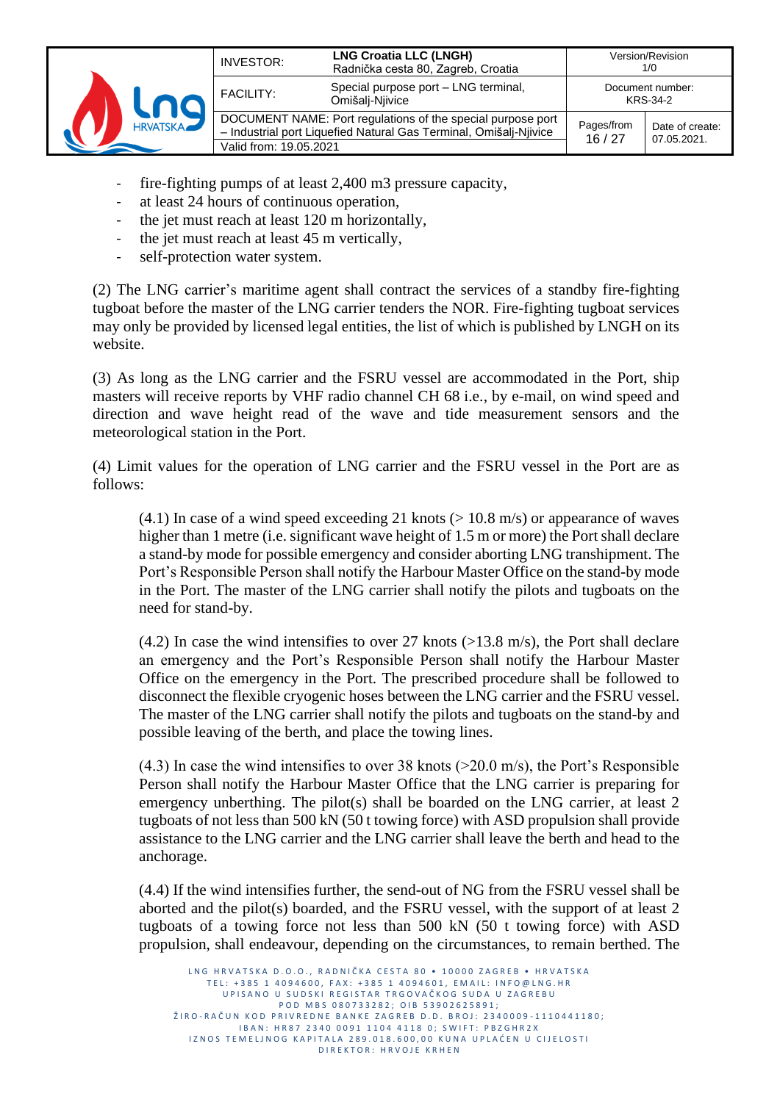|                 | INVESTOR:              | <b>LNG Croatia LLC (LNGH)</b><br>Radnička cesta 80, Zagreb, Croatia                                                              |                     | Version/Revision<br>1/0        |
|-----------------|------------------------|----------------------------------------------------------------------------------------------------------------------------------|---------------------|--------------------------------|
|                 | <b>FACILITY:</b>       | Special purpose port - LNG terminal,<br>Omišalį-Njivice                                                                          |                     | Document number:<br>KRS-34-2   |
| <b>HRVATSKA</b> | Valid from: 19.05.2021 | DOCUMENT NAME: Port regulations of the special purpose port<br>- Industrial port Liquefied Natural Gas Terminal, Omišalj-Njivice | Pages/from<br>16/27 | Date of create:<br>07.05.2021. |

- fire-fighting pumps of at least 2,400 m3 pressure capacity,
- at least 24 hours of continuous operation,
- the jet must reach at least 120 m horizontally,
- the jet must reach at least 45 m vertically,
- self-protection water system.

(2) The LNG carrier's maritime agent shall contract the services of a standby fire-fighting tugboat before the master of the LNG carrier tenders the NOR. Fire-fighting tugboat services may only be provided by licensed legal entities, the list of which is published by LNGH on its website.

(3) As long as the LNG carrier and the FSRU vessel are accommodated in the Port, ship masters will receive reports by VHF radio channel CH 68 i.e., by e-mail, on wind speed and direction and wave height read of the wave and tide measurement sensors and the meteorological station in the Port.

(4) Limit values for the operation of LNG carrier and the FSRU vessel in the Port are as follows:

 $(4.1)$  In case of a wind speed exceeding 21 knots ( $> 10.8$  m/s) or appearance of waves higher than 1 metre (i.e. significant wave height of 1.5 m or more) the Port shall declare a stand-by mode for possible emergency and consider aborting LNG transhipment. The Port's Responsible Person shall notify the Harbour Master Office on the stand-by mode in the Port. The master of the LNG carrier shall notify the pilots and tugboats on the need for stand-by.

 $(4.2)$  In case the wind intensifies to over 27 knots ( $>13.8$  m/s), the Port shall declare an emergency and the Port's Responsible Person shall notify the Harbour Master Office on the emergency in the Port. The prescribed procedure shall be followed to disconnect the flexible cryogenic hoses between the LNG carrier and the FSRU vessel. The master of the LNG carrier shall notify the pilots and tugboats on the stand-by and possible leaving of the berth, and place the towing lines.

 $(4.3)$  In case the wind intensifies to over 38 knots ( $>20.0$  m/s), the Port's Responsible Person shall notify the Harbour Master Office that the LNG carrier is preparing for emergency unberthing. The pilot(s) shall be boarded on the LNG carrier, at least 2 tugboats of not less than 500 kN (50 t towing force) with ASD propulsion shall provide assistance to the LNG carrier and the LNG carrier shall leave the berth and head to the anchorage.

(4.4) If the wind intensifies further, the send-out of NG from the FSRU vessel shall be aborted and the pilot(s) boarded, and the FSRU vessel, with the support of at least 2 tugboats of a towing force not less than 500 kN (50 t towing force) with ASD propulsion, shall endeavour, depending on the circumstances, to remain berthed. The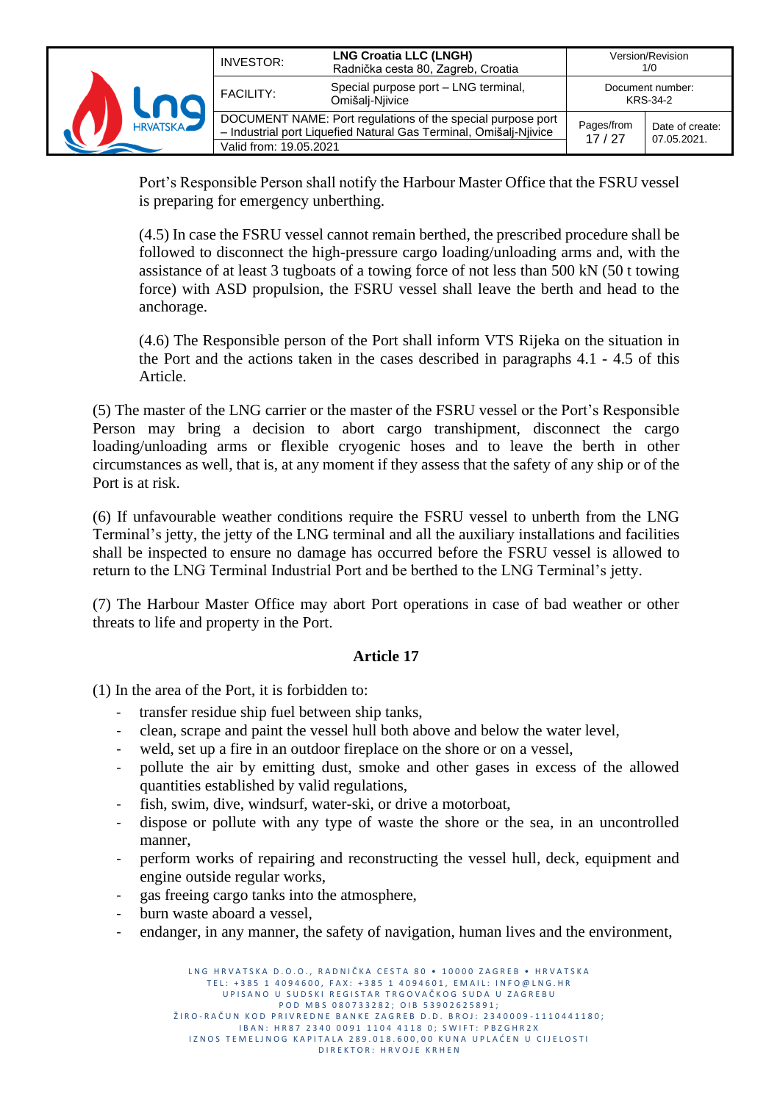|                 | INVESTOR:              | <b>LNG Croatia LLC (LNGH)</b><br>Radnička cesta 80, Zagreb, Croatia                                                              |                     | Version/Revision<br>1/0        |
|-----------------|------------------------|----------------------------------------------------------------------------------------------------------------------------------|---------------------|--------------------------------|
|                 | <b>FACILITY:</b>       | Special purpose port - LNG terminal,<br>Omišali-Niivice                                                                          |                     | Document number:<br>KRS-34-2   |
| <b>HRVATSKA</b> | Valid from: 19.05.2021 | DOCUMENT NAME: Port regulations of the special purpose port<br>- Industrial port Liquefied Natural Gas Terminal, Omišalj-Njivice | Pages/from<br>17/27 | Date of create:<br>07.05.2021. |

Port's Responsible Person shall notify the Harbour Master Office that the FSRU vessel is preparing for emergency unberthing.

(4.5) In case the FSRU vessel cannot remain berthed, the prescribed procedure shall be followed to disconnect the high-pressure cargo loading/unloading arms and, with the assistance of at least 3 tugboats of a towing force of not less than 500 kN (50 t towing force) with ASD propulsion, the FSRU vessel shall leave the berth and head to the anchorage.

(4.6) The Responsible person of the Port shall inform VTS Rijeka on the situation in the Port and the actions taken in the cases described in paragraphs 4.1 - 4.5 of this Article.

(5) The master of the LNG carrier or the master of the FSRU vessel or the Port's Responsible Person may bring a decision to abort cargo transhipment, disconnect the cargo loading/unloading arms or flexible cryogenic hoses and to leave the berth in other circumstances as well, that is, at any moment if they assess that the safety of any ship or of the Port is at risk.

(6) If unfavourable weather conditions require the FSRU vessel to unberth from the LNG Terminal's jetty, the jetty of the LNG terminal and all the auxiliary installations and facilities shall be inspected to ensure no damage has occurred before the FSRU vessel is allowed to return to the LNG Terminal Industrial Port and be berthed to the LNG Terminal's jetty.

(7) The Harbour Master Office may abort Port operations in case of bad weather or other threats to life and property in the Port.

## **Article 17**

(1) In the area of the Port, it is forbidden to:

- transfer residue ship fuel between ship tanks,
- clean, scrape and paint the vessel hull both above and below the water level,
- weld, set up a fire in an outdoor fireplace on the shore or on a vessel,
- pollute the air by emitting dust, smoke and other gases in excess of the allowed quantities established by valid regulations,
- fish, swim, dive, windsurf, water-ski, or drive a motorboat,
- dispose or pollute with any type of waste the shore or the sea, in an uncontrolled manner,
- perform works of repairing and reconstructing the vessel hull, deck, equipment and engine outside regular works,
- gas freeing cargo tanks into the atmosphere,
- burn waste aboard a vessel,
- endanger, in any manner, the safety of navigation, human lives and the environment,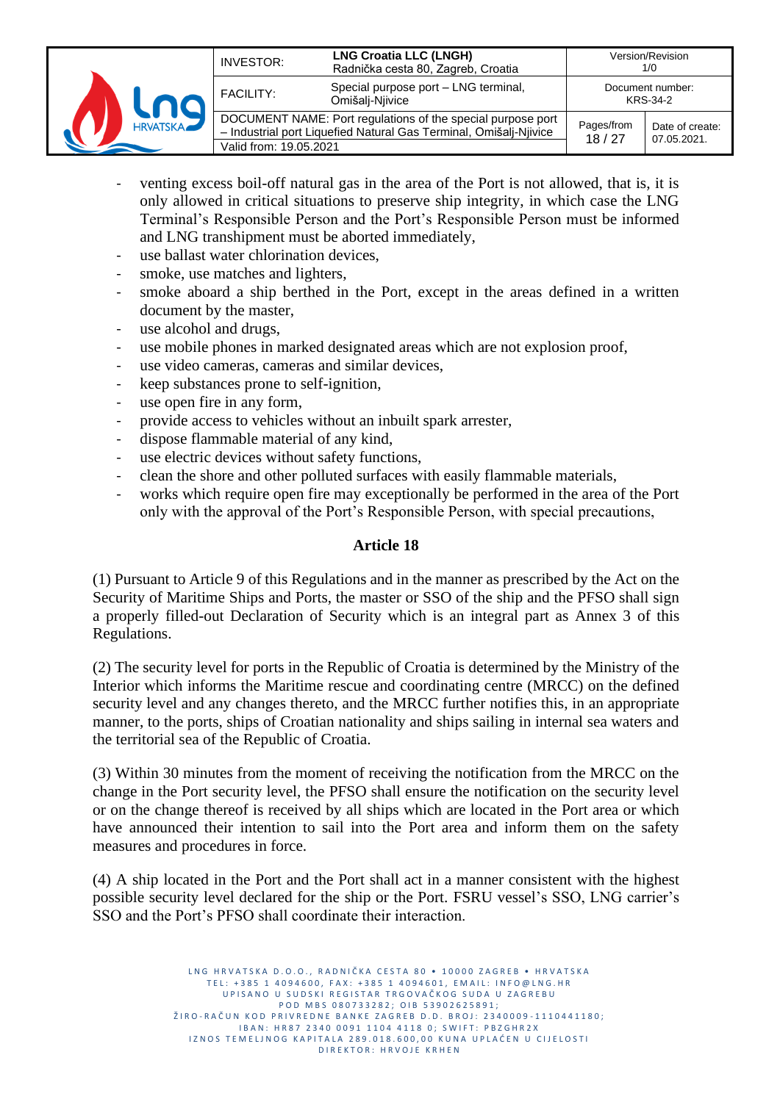|                 | INVESTOR:              | <b>LNG Croatia LLC (LNGH)</b><br>Radnička cesta 80, Zagreb, Croatia                                                              |                     | Version/Revision<br>1/0        |
|-----------------|------------------------|----------------------------------------------------------------------------------------------------------------------------------|---------------------|--------------------------------|
|                 | <b>FACILITY:</b>       | Special purpose port - LNG terminal,<br>Omišalį-Njivice                                                                          |                     | Document number:<br>KRS-34-2   |
| <b>HRVATSKA</b> | Valid from: 19.05.2021 | DOCUMENT NAME: Port regulations of the special purpose port<br>- Industrial port Liquefied Natural Gas Terminal, Omišalj-Njivice | Pages/from<br>18/27 | Date of create:<br>07.05.2021. |

- venting excess boil-off natural gas in the area of the Port is not allowed, that is, it is only allowed in critical situations to preserve ship integrity, in which case the LNG Terminal's Responsible Person and the Port's Responsible Person must be informed and LNG transhipment must be aborted immediately,
- use ballast water chlorination devices,
- smoke, use matches and lighters,
- smoke aboard a ship berthed in the Port, except in the areas defined in a written document by the master,
- use alcohol and drugs,
- use mobile phones in marked designated areas which are not explosion proof,
- use video cameras, cameras and similar devices,
- keep substances prone to self-ignition,
- use open fire in any form,
- provide access to vehicles without an inbuilt spark arrester,
- dispose flammable material of any kind,
- use electric devices without safety functions,
- clean the shore and other polluted surfaces with easily flammable materials,
- works which require open fire may exceptionally be performed in the area of the Port only with the approval of the Port's Responsible Person, with special precautions,

#### **Article 18**

(1) Pursuant to Article 9 of this Regulations and in the manner as prescribed by the Act on the Security of Maritime Ships and Ports, the master or SSO of the ship and the PFSO shall sign a properly filled-out Declaration of Security which is an integral part as Annex 3 of this Regulations.

(2) The security level for ports in the Republic of Croatia is determined by the Ministry of the Interior which informs the Maritime rescue and coordinating centre (MRCC) on the defined security level and any changes thereto, and the MRCC further notifies this, in an appropriate manner, to the ports, ships of Croatian nationality and ships sailing in internal sea waters and the territorial sea of the Republic of Croatia.

(3) Within 30 minutes from the moment of receiving the notification from the MRCC on the change in the Port security level, the PFSO shall ensure the notification on the security level or on the change thereof is received by all ships which are located in the Port area or which have announced their intention to sail into the Port area and inform them on the safety measures and procedures in force.

(4) A ship located in the Port and the Port shall act in a manner consistent with the highest possible security level declared for the ship or the Port. FSRU vessel's SSO, LNG carrier's SSO and the Port's PFSO shall coordinate their interaction.

> L N G HR V A T S K A D O . O . R A D N I Č K A C F S T A 80 · 10000 Z A G R F B · HR V A T S K A TEL: +385 1 4094600, FAX: +385 1 4094601, EMAIL: INFO@LNG.HR UPISANO U SUDSKI REGISTAR TRGOVAČKOG SUDA U ZAGREBU P O D M B S 0 8 0 7 3 3 2 8 2 ; O I B 5 3 9 0 2 6 2 5 8 9 1 ; ŽIRO-RAČUN KOD PRIVREDNE BANKE ZAGREB D.D. BROJ: 2340009-1110441180; I B A N : H R 8 7 2 3 4 0 0 0 9 1 1 1 0 4 4 1 1 8 0 ; S W I F T : P B Z G H R 2 X IZNOS TEMELJNOG KAPITALA 289.018.600,00 KUNA UPLAĆEN U CIJELOSTI D I R E K T O R : H R V O J E K R H E N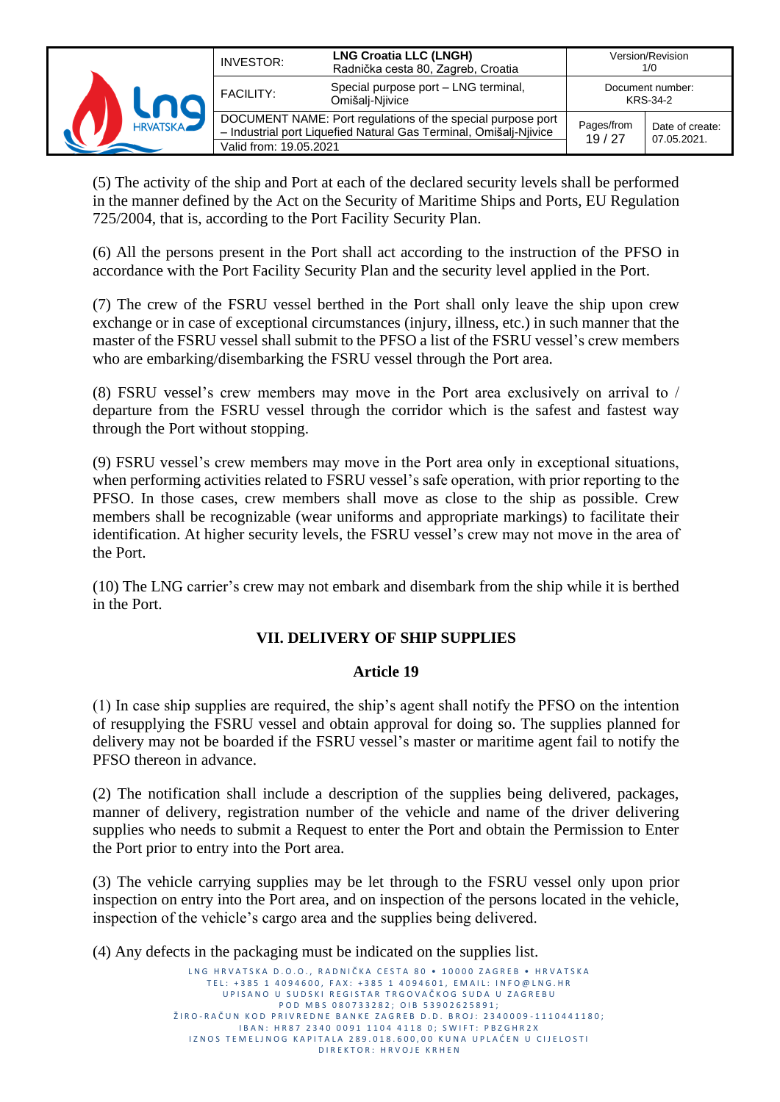| <b>HRVATSKA</b> | <b>INVESTOR:</b>                                                                                                                                           | <b>LNG Croatia LLC (LNGH)</b><br>Radnička cesta 80, Zagreb, Croatia |                              | Version/Revision<br>1/0        |
|-----------------|------------------------------------------------------------------------------------------------------------------------------------------------------------|---------------------------------------------------------------------|------------------------------|--------------------------------|
|                 | <b>FACILITY:</b>                                                                                                                                           | Special purpose port - LNG terminal,<br>Omišalį-Njivice             | Document number:<br>KRS-34-2 |                                |
|                 | DOCUMENT NAME: Port regulations of the special purpose port<br>- Industrial port Liquefied Natural Gas Terminal, Omišalj-Njivice<br>Valid from: 19.05.2021 |                                                                     | Pages/from<br>19/27          | Date of create:<br>07.05.2021. |

(5) The activity of the ship and Port at each of the declared security levels shall be performed in the manner defined by the Act on the Security of Maritime Ships and Ports, EU Regulation 725/2004, that is, according to the Port Facility Security Plan.

(6) All the persons present in the Port shall act according to the instruction of the PFSO in accordance with the Port Facility Security Plan and the security level applied in the Port.

(7) The crew of the FSRU vessel berthed in the Port shall only leave the ship upon crew exchange or in case of exceptional circumstances (injury, illness, etc.) in such manner that the master of the FSRU vessel shall submit to the PFSO a list of the FSRU vessel's crew members who are embarking/disembarking the FSRU vessel through the Port area.

(8) FSRU vessel's crew members may move in the Port area exclusively on arrival to / departure from the FSRU vessel through the corridor which is the safest and fastest way through the Port without stopping.

(9) FSRU vessel's crew members may move in the Port area only in exceptional situations, when performing activities related to FSRU vessel's safe operation, with prior reporting to the PFSO. In those cases, crew members shall move as close to the ship as possible. Crew members shall be recognizable (wear uniforms and appropriate markings) to facilitate their identification. At higher security levels, the FSRU vessel's crew may not move in the area of the Port.

(10) The LNG carrier's crew may not embark and disembark from the ship while it is berthed in the Port.

## **VII. DELIVERY OF SHIP SUPPLIES**

#### **Article 19**

(1) In case ship supplies are required, the ship's agent shall notify the PFSO on the intention of resupplying the FSRU vessel and obtain approval for doing so. The supplies planned for delivery may not be boarded if the FSRU vessel's master or maritime agent fail to notify the PFSO thereon in advance.

(2) The notification shall include a description of the supplies being delivered, packages, manner of delivery, registration number of the vehicle and name of the driver delivering supplies who needs to submit a Request to enter the Port and obtain the Permission to Enter the Port prior to entry into the Port area.

(3) The vehicle carrying supplies may be let through to the FSRU vessel only upon prior inspection on entry into the Port area, and on inspection of the persons located in the vehicle, inspection of the vehicle's cargo area and the supplies being delivered.

(4) Any defects in the packaging must be indicated on the supplies list.

L N G H R V A T S K A D O .<br>L N G H R V A T S K A D O . D R A D N L Č K A C E S T A 80 · 10000 Z A G R E B · H R V A T S K A TEL: +385 1 4094600, FAX: +385 1 4094601, EMAIL: INFO@LNG.HR UP I SANO U SUDSKI REGISTAR TRGOVAČKOG SUDA U ZAGREBU P O D M B S 0 8 0 7 3 3 2 8 2 ; O I B 5 3 9 0 2 6 2 5 8 9 1 ; ŽIRO-RAČUN KOD PRIVREDNE BANKE ZAGREB D.D. BROJ: 2340009-1110441180; I B A N : H R 8 7 2 3 4 0 0 0 9 1 1 1 0 4 4 1 1 8 0 ; S W I F T : P B Z G H R 2 X IZNOS TEMELJNOG KAPITALA 289.018.600,00 KUNA UPLAĆEN U CIJELOSTI D I R E K T O R : H R V O J E K R H E N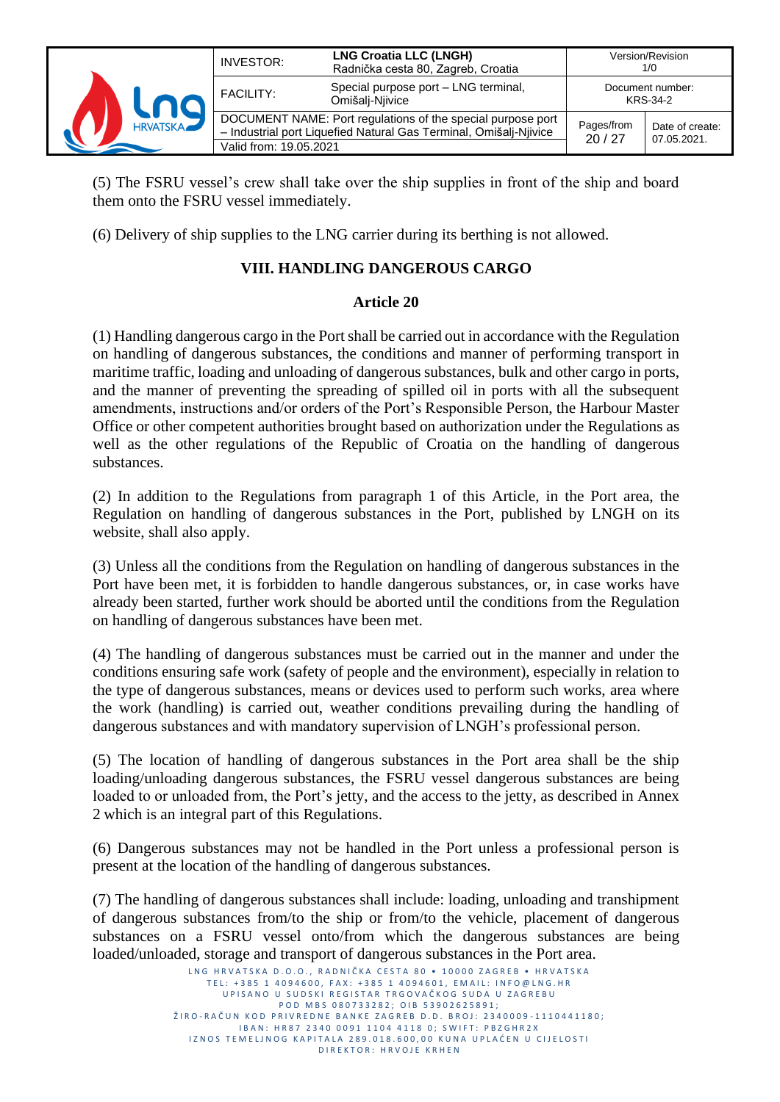

(5) The FSRU vessel's crew shall take over the ship supplies in front of the ship and board them onto the FSRU vessel immediately.

(6) Delivery of ship supplies to the LNG carrier during its berthing is not allowed.

## **VIII. HANDLING DANGEROUS CARGO**

#### **Article 20**

(1) Handling dangerous cargo in the Port shall be carried out in accordance with the Regulation on handling of dangerous substances, the conditions and manner of performing transport in maritime traffic, loading and unloading of dangerous substances, bulk and other cargo in ports, and the manner of preventing the spreading of spilled oil in ports with all the subsequent amendments, instructions and/or orders of the Port's Responsible Person, the Harbour Master Office or other competent authorities brought based on authorization under the Regulations as well as the other regulations of the Republic of Croatia on the handling of dangerous substances.

(2) In addition to the Regulations from paragraph 1 of this Article, in the Port area, the Regulation on handling of dangerous substances in the Port, published by LNGH on its website, shall also apply.

(3) Unless all the conditions from the Regulation on handling of dangerous substances in the Port have been met, it is forbidden to handle dangerous substances, or, in case works have already been started, further work should be aborted until the conditions from the Regulation on handling of dangerous substances have been met.

(4) The handling of dangerous substances must be carried out in the manner and under the conditions ensuring safe work (safety of people and the environment), especially in relation to the type of dangerous substances, means or devices used to perform such works, area where the work (handling) is carried out, weather conditions prevailing during the handling of dangerous substances and with mandatory supervision of LNGH's professional person.

(5) The location of handling of dangerous substances in the Port area shall be the ship loading/unloading dangerous substances, the FSRU vessel dangerous substances are being loaded to or unloaded from, the Port's jetty, and the access to the jetty, as described in Annex 2 which is an integral part of this Regulations.

(6) Dangerous substances may not be handled in the Port unless a professional person is present at the location of the handling of dangerous substances.

(7) The handling of dangerous substances shall include: loading, unloading and transhipment of dangerous substances from/to the ship or from/to the vehicle, placement of dangerous substances on a FSRU vessel onto/from which the dangerous substances are being loaded/unloaded, storage and transport of dangerous substances in the Port area.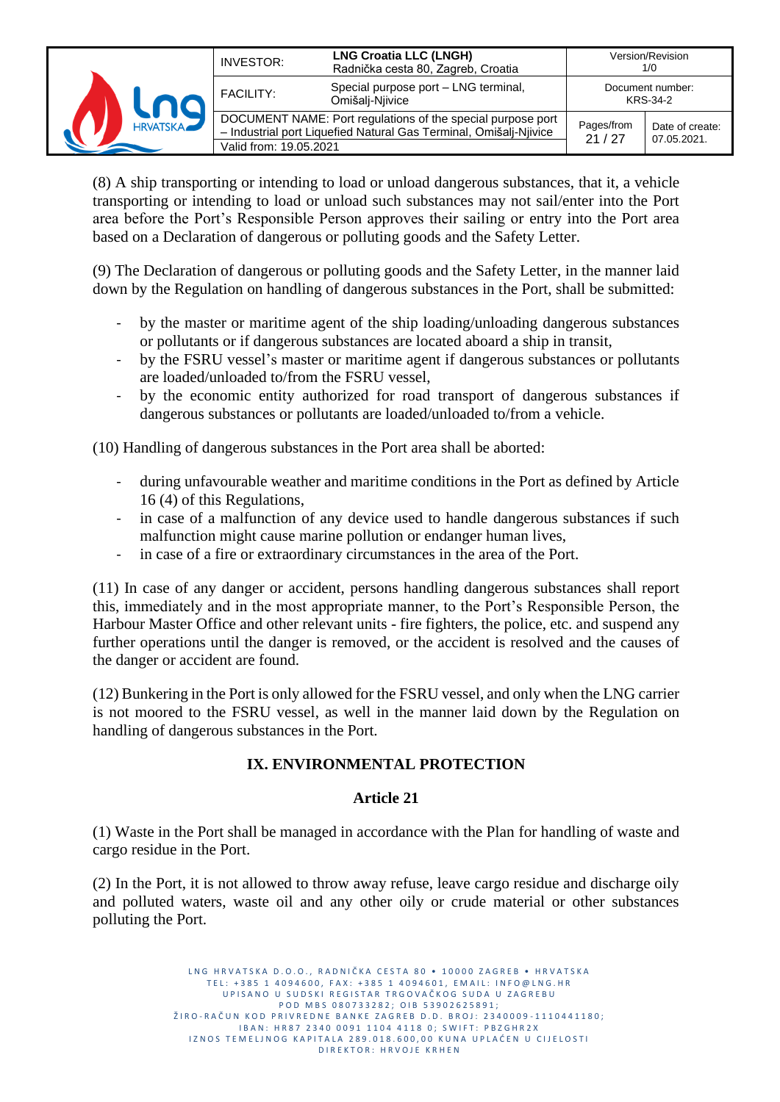| <b>HRVATSKA</b> | INVESTOR:              | <b>LNG Croatia LLC (LNGH)</b><br>Radnička cesta 80, Zagreb, Croatia                                                              | Version/Revision<br>1/0      |                                |
|-----------------|------------------------|----------------------------------------------------------------------------------------------------------------------------------|------------------------------|--------------------------------|
|                 | <b>FACILITY:</b>       | Special purpose port - LNG terminal,<br>Omišalį-Njivice                                                                          | Document number:<br>KRS-34-2 |                                |
|                 | Valid from: 19.05.2021 | DOCUMENT NAME: Port regulations of the special purpose port<br>- Industrial port Liquefied Natural Gas Terminal, Omišalj-Njivice | Pages/from<br>21/27          | Date of create:<br>07.05.2021. |

(8) A ship transporting or intending to load or unload dangerous substances, that it, a vehicle transporting or intending to load or unload such substances may not sail/enter into the Port area before the Port's Responsible Person approves their sailing or entry into the Port area based on a Declaration of dangerous or polluting goods and the Safety Letter.

(9) The Declaration of dangerous or polluting goods and the Safety Letter, in the manner laid down by the Regulation on handling of dangerous substances in the Port, shall be submitted:

- by the master or maritime agent of the ship loading/unloading dangerous substances or pollutants or if dangerous substances are located aboard a ship in transit,
- by the FSRU vessel's master or maritime agent if dangerous substances or pollutants are loaded/unloaded to/from the FSRU vessel,
- by the economic entity authorized for road transport of dangerous substances if dangerous substances or pollutants are loaded/unloaded to/from a vehicle.

(10) Handling of dangerous substances in the Port area shall be aborted:

- during unfavourable weather and maritime conditions in the Port as defined by Article 16 (4) of this Regulations,
- in case of a malfunction of any device used to handle dangerous substances if such malfunction might cause marine pollution or endanger human lives,
- in case of a fire or extraordinary circumstances in the area of the Port.

(11) In case of any danger or accident, persons handling dangerous substances shall report this, immediately and in the most appropriate manner, to the Port's Responsible Person, the Harbour Master Office and other relevant units - fire fighters, the police, etc. and suspend any further operations until the danger is removed, or the accident is resolved and the causes of the danger or accident are found.

(12) Bunkering in the Port is only allowed for the FSRU vessel, and only when the LNG carrier is not moored to the FSRU vessel, as well in the manner laid down by the Regulation on handling of dangerous substances in the Port.

## **IX. ENVIRONMENTAL PROTECTION**

#### **Article 21**

(1) Waste in the Port shall be managed in accordance with the Plan for handling of waste and cargo residue in the Port.

(2) In the Port, it is not allowed to throw away refuse, leave cargo residue and discharge oily and polluted waters, waste oil and any other oily or crude material or other substances polluting the Port.

> L N G HR V A T S K A D O . O . R A D N I Č K A C F S T A 80 · 10000 Z A G R F B · HR V A T S K A TEL: +385 1 4094600, FAX: +385 1 4094601, EMAIL: INFO@LNG.HR UP I SANO U SUDSKI REGISTAR TRGOVAČKOG SUDA U ZAGREBU P O D M B S 0 8 0 7 3 3 2 8 2 ; O I B 5 3 9 0 2 6 2 5 8 9 1 ; ŽIRO-RAČUN KOD PRIVREDNE BANKE ZAGREB D.D. BROJ: 2340009-1110441180; I B A N : H R 8 7 2 3 4 0 0 0 9 1 1 1 0 4 4 1 1 8 0 ; S W I F T : P B Z G H R 2 X IZNOS TEMELJNOG KAPITALA 289.018.600,00 KUNA UPLAĆEN U CIJELOSTI D I R E K T O R : H R V O J E K R H E N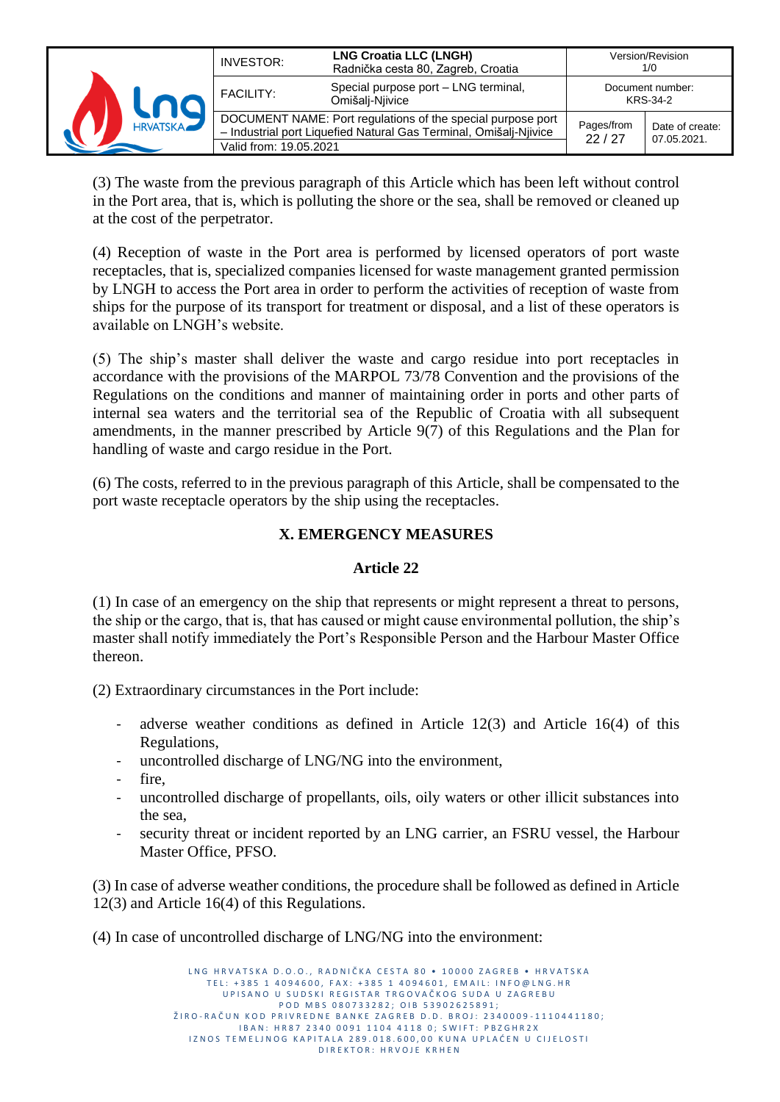| <b>HRVATSKA</b> | <b>INVESTOR:</b>       | <b>LNG Croatia LLC (LNGH)</b><br>Radnička cesta 80, Zagreb, Croatia                                                              |                              | Version/Revision<br>1/0        |
|-----------------|------------------------|----------------------------------------------------------------------------------------------------------------------------------|------------------------------|--------------------------------|
|                 | <b>FACILITY:</b>       | Special purpose port - LNG terminal,<br>Omišalį-Njivice                                                                          | Document number:<br>KRS-34-2 |                                |
|                 | Valid from: 19.05.2021 | DOCUMENT NAME: Port regulations of the special purpose port<br>- Industrial port Liquefied Natural Gas Terminal, Omišalj-Njivice | Pages/from<br>22/27          | Date of create:<br>07.05.2021. |

(3) The waste from the previous paragraph of this Article which has been left without control in the Port area, that is, which is polluting the shore or the sea, shall be removed or cleaned up at the cost of the perpetrator.

(4) Reception of waste in the Port area is performed by licensed operators of port waste receptacles, that is, specialized companies licensed for waste management granted permission by LNGH to access the Port area in order to perform the activities of reception of waste from ships for the purpose of its transport for treatment or disposal, and a list of these operators is available on LNGH's website.

(5) The ship's master shall deliver the waste and cargo residue into port receptacles in accordance with the provisions of the MARPOL 73/78 Convention and the provisions of the Regulations on the conditions and manner of maintaining order in ports and other parts of internal sea waters and the territorial sea of the Republic of Croatia with all subsequent amendments, in the manner prescribed by Article 9(7) of this Regulations and the Plan for handling of waste and cargo residue in the Port.

(6) The costs, referred to in the previous paragraph of this Article, shall be compensated to the port waste receptacle operators by the ship using the receptacles.

## **X. EMERGENCY MEASURES**

#### **Article 22**

(1) In case of an emergency on the ship that represents or might represent a threat to persons, the ship or the cargo, that is, that has caused or might cause environmental pollution, the ship's master shall notify immediately the Port's Responsible Person and the Harbour Master Office thereon.

(2) Extraordinary circumstances in the Port include:

- adverse weather conditions as defined in Article 12(3) and Article 16(4) of this Regulations,
- uncontrolled discharge of LNG/NG into the environment,
- fire,
- uncontrolled discharge of propellants, oils, oily waters or other illicit substances into the sea,
- security threat or incident reported by an LNG carrier, an FSRU vessel, the Harbour Master Office, PFSO.

(3) In case of adverse weather conditions, the procedure shall be followed as defined in Article 12(3) and Article 16(4) of this Regulations.

(4) In case of uncontrolled discharge of LNG/NG into the environment:

LNG HRVATSKA D.O.O., RADNIČKA CESTA 80 · 10000 ZAGREB · HRVATSKA TEL: +385 1 4094600, FAX: +385 1 4094601, EMAIL: INFO@LNG.HR U P I SA NO U SUD SKI REGISTAR TRGOVAČKOG SUDA U ZAGREBU P O D M B S 0 8 0 7 3 3 2 8 2 ; O I B 5 3 9 0 2 6 2 5 8 9 1 ; ŽIRO-RAČUN KOD PRIVREDNE BANKE ZAGREB D.D. BROJ: 2340009-1110441180; I B A N : H R 8 7 2 3 4 0 0 0 9 1 1 1 0 4 4 1 1 8 0 ; S W I F T : P B Z G H R 2 X IZNOS TEMELJNOG KAPITALA 289.018.600,00 KUNA UPLAĆEN U CIJELOSTI D I R E K T O R : H R V O J E K R H E N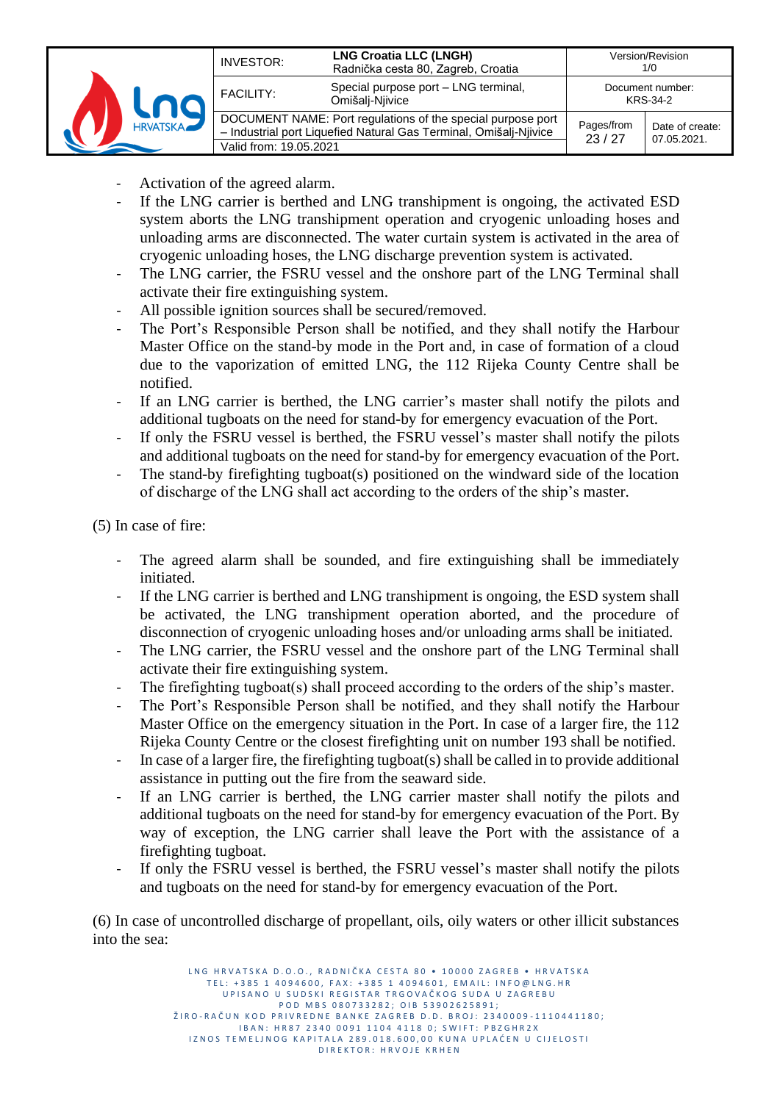| <b>HRVATSKA</b> | INVESTOR:                                                                                                                                                  | <b>LNG Croatia LLC (LNGH)</b><br>Radnička cesta 80, Zagreb, Croatia |                     | Version/Revision<br>1/0        |
|-----------------|------------------------------------------------------------------------------------------------------------------------------------------------------------|---------------------------------------------------------------------|---------------------|--------------------------------|
|                 | <b>FACILITY:</b>                                                                                                                                           | Special purpose port - LNG terminal,<br>Omišalį-Njivice             |                     | Document number:<br>KRS-34-2   |
|                 | DOCUMENT NAME: Port regulations of the special purpose port<br>- Industrial port Liquefied Natural Gas Terminal, Omišalj-Njivice<br>Valid from: 19.05.2021 |                                                                     | Pages/from<br>23/27 | Date of create:<br>07.05.2021. |

- Activation of the agreed alarm.
- If the LNG carrier is berthed and LNG transhipment is ongoing, the activated ESD system aborts the LNG transhipment operation and cryogenic unloading hoses and unloading arms are disconnected. The water curtain system is activated in the area of cryogenic unloading hoses, the LNG discharge prevention system is activated.
- The LNG carrier, the FSRU vessel and the onshore part of the LNG Terminal shall activate their fire extinguishing system.
- All possible ignition sources shall be secured/removed.
- The Port's Responsible Person shall be notified, and they shall notify the Harbour Master Office on the stand-by mode in the Port and, in case of formation of a cloud due to the vaporization of emitted LNG, the 112 Rijeka County Centre shall be notified.
- If an LNG carrier is berthed, the LNG carrier's master shall notify the pilots and additional tugboats on the need for stand-by for emergency evacuation of the Port.
- If only the FSRU vessel is berthed, the FSRU vessel's master shall notify the pilots and additional tugboats on the need for stand-by for emergency evacuation of the Port.
- The stand-by firefighting tugboat(s) positioned on the windward side of the location of discharge of the LNG shall act according to the orders of the ship's master.

(5) In case of fire:

- The agreed alarm shall be sounded, and fire extinguishing shall be immediately initiated.
- If the LNG carrier is berthed and LNG transhipment is ongoing, the ESD system shall be activated, the LNG transhipment operation aborted, and the procedure of disconnection of cryogenic unloading hoses and/or unloading arms shall be initiated.
- The LNG carrier, the FSRU vessel and the onshore part of the LNG Terminal shall activate their fire extinguishing system.
- The firefighting tugboat(s) shall proceed according to the orders of the ship's master.
- The Port's Responsible Person shall be notified, and they shall notify the Harbour Master Office on the emergency situation in the Port. In case of a larger fire, the 112 Rijeka County Centre or the closest firefighting unit on number 193 shall be notified.
- In case of a larger fire, the firefighting tugboat(s) shall be called in to provide additional assistance in putting out the fire from the seaward side.
- If an LNG carrier is berthed, the LNG carrier master shall notify the pilots and additional tugboats on the need for stand-by for emergency evacuation of the Port. By way of exception, the LNG carrier shall leave the Port with the assistance of a firefighting tugboat.
- If only the FSRU vessel is berthed, the FSRU vessel's master shall notify the pilots and tugboats on the need for stand-by for emergency evacuation of the Port.

(6) In case of uncontrolled discharge of propellant, oils, oily waters or other illicit substances into the sea:

> L N G H R V A T S K A D O . O . R A D N I Č K A C E S T A 80 · 10000 Z A G R E R · H R V A T S K A TEL: +385 1 4094600, FAX: +385 1 4094601, EMAIL: INFO@LNG.HR U P I SANO U SUD SKI REGISTAR TRGOVAČKOG SUDA U ZAGREBU P O D M B S 0 8 0 7 3 3 2 8 2 ; O I B 5 3 9 0 2 6 2 5 8 9 1 ; ŽIRO-RAČUN KOD PRIVREDNE BANKE ZAGREB D.D. BROJ: 2340009-1110441180; I B A N : H R 8 7 2 3 4 0 0 0 9 1 1 1 0 4 4 1 1 8 0 ; S W I F T : P B Z G H R 2 X IZNOS TEMELJNOG KAPITALA 289.018.600,00 KUNA UPLAĆEN U CIJELOSTI D I R E K T O R : H R V O J E K R H E N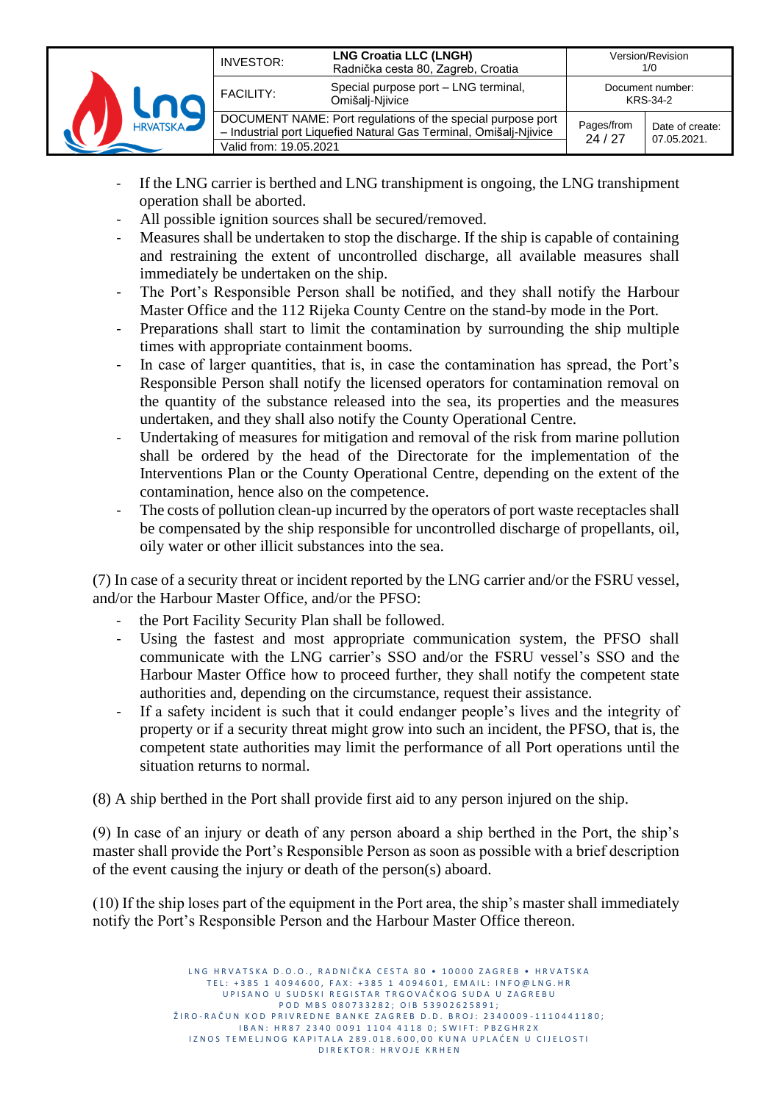| <b>HRVATSKA</b> | INVESTOR:              | <b>LNG Croatia LLC (LNGH)</b><br>Radnička cesta 80, Zagreb, Croatia                                                              |                              | Version/Revision<br>1/0        |
|-----------------|------------------------|----------------------------------------------------------------------------------------------------------------------------------|------------------------------|--------------------------------|
|                 | <b>FACILITY:</b>       | Special purpose port - LNG terminal,<br>Omišali-Niivice                                                                          | Document number:<br>KRS-34-2 |                                |
|                 | Valid from: 19.05.2021 | DOCUMENT NAME: Port regulations of the special purpose port<br>- Industrial port Liquefied Natural Gas Terminal, Omišalj-Njivice | Pages/from<br>24/27          | Date of create:<br>07.05.2021. |

- If the LNG carrier is berthed and LNG transhipment is ongoing, the LNG transhipment operation shall be aborted.
- All possible ignition sources shall be secured/removed.
- Measures shall be undertaken to stop the discharge. If the ship is capable of containing and restraining the extent of uncontrolled discharge, all available measures shall immediately be undertaken on the ship.
- The Port's Responsible Person shall be notified, and they shall notify the Harbour Master Office and the 112 Rijeka County Centre on the stand-by mode in the Port.
- Preparations shall start to limit the contamination by surrounding the ship multiple times with appropriate containment booms.
- In case of larger quantities, that is, in case the contamination has spread, the Port's Responsible Person shall notify the licensed operators for contamination removal on the quantity of the substance released into the sea, its properties and the measures undertaken, and they shall also notify the County Operational Centre.
- Undertaking of measures for mitigation and removal of the risk from marine pollution shall be ordered by the head of the Directorate for the implementation of the Interventions Plan or the County Operational Centre, depending on the extent of the contamination, hence also on the competence.
- The costs of pollution clean-up incurred by the operators of port waste receptacles shall be compensated by the ship responsible for uncontrolled discharge of propellants, oil, oily water or other illicit substances into the sea.

(7) In case of a security threat or incident reported by the LNG carrier and/or the FSRU vessel, and/or the Harbour Master Office, and/or the PFSO:

- the Port Facility Security Plan shall be followed.
- Using the fastest and most appropriate communication system, the PFSO shall communicate with the LNG carrier's SSO and/or the FSRU vessel's SSO and the Harbour Master Office how to proceed further, they shall notify the competent state authorities and, depending on the circumstance, request their assistance.
- If a safety incident is such that it could endanger people's lives and the integrity of property or if a security threat might grow into such an incident, the PFSO, that is, the competent state authorities may limit the performance of all Port operations until the situation returns to normal.

(8) A ship berthed in the Port shall provide first aid to any person injured on the ship.

(9) In case of an injury or death of any person aboard a ship berthed in the Port, the ship's master shall provide the Port's Responsible Person as soon as possible with a brief description of the event causing the injury or death of the person(s) aboard.

(10) If the ship loses part of the equipment in the Port area, the ship's master shall immediately notify the Port's Responsible Person and the Harbour Master Office thereon.

> L N G HR V A T S K A D O . O . R A D N I Č K A C F S T A 80 · 10000 Z A G R F B · HR V A T S K A TEL: +385 1 4094600, FAX: +385 1 4094601, EMAIL: INFO@LNG.HR UP I SANO U SUDSKI REGISTAR TRGOVAČKOG SUDA U ZAGREBU P O D M B S 0 8 0 7 3 3 2 8 2 ; O I B 5 3 9 0 2 6 2 5 8 9 1 ; ŽIRO-RAČUN KOD PRIVREDNE BANKE ZAGREB D.D. BROJ: 2340009-1110441180; I B A N : H R 8 7 2 3 4 0 0 0 9 1 1 1 0 4 4 1 1 8 0 ; S W I F T : P B Z G H R 2 X IZNOS TEMELJNOG KAPITALA 289.018.600,00 KUNA UPLAĆEN U CIJELOSTI D I R E K T O R : H R V O J E K R H E N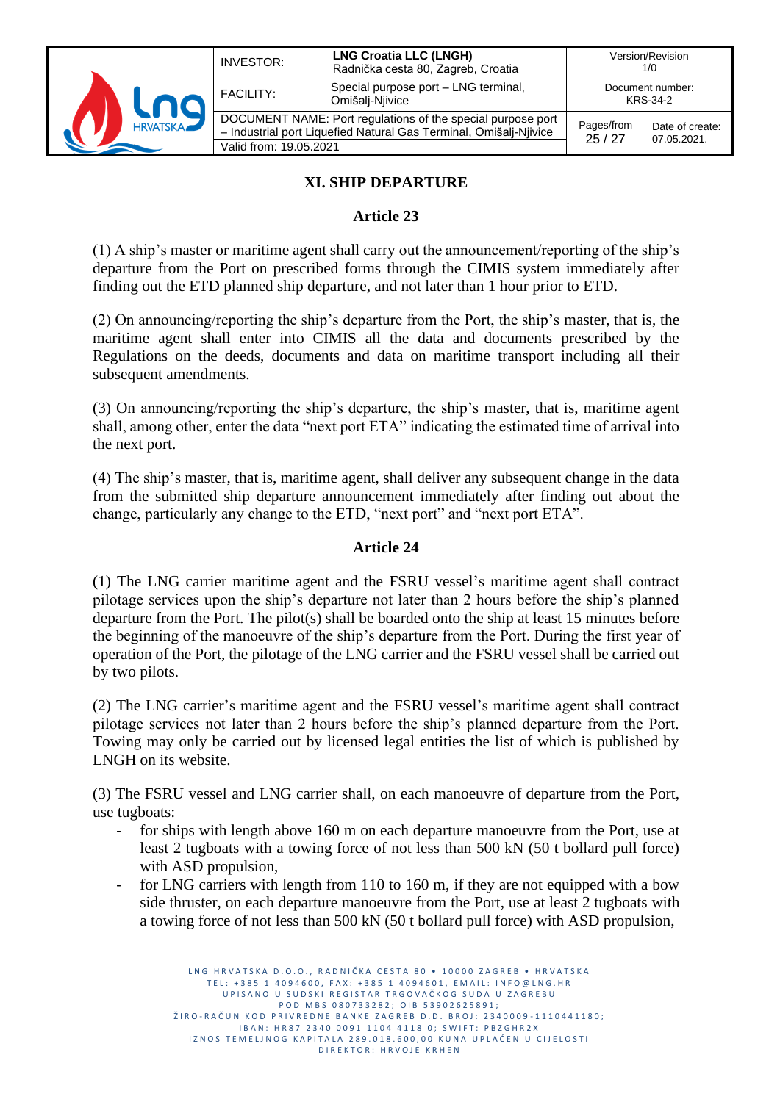| <b>HRVATSKA</b> | INVESTOR:              | <b>LNG Croatia LLC (LNGH)</b><br>Radnička cesta 80, Zagreb, Croatia                                                              |                     | Version/Revision<br>1/0        |
|-----------------|------------------------|----------------------------------------------------------------------------------------------------------------------------------|---------------------|--------------------------------|
|                 | <b>FACILITY:</b>       | Special purpose port - LNG terminal,<br>Omišalį-Njivice                                                                          |                     | Document number:<br>KRS-34-2   |
|                 | Valid from: 19.05.2021 | DOCUMENT NAME: Port regulations of the special purpose port<br>- Industrial port Liquefied Natural Gas Terminal, Omišalj-Njivice | Pages/from<br>25/27 | Date of create:<br>07.05.2021. |

## **XI. SHIP DEPARTURE**

## **Article 23**

(1) A ship's master or maritime agent shall carry out the announcement/reporting of the ship's departure from the Port on prescribed forms through the CIMIS system immediately after finding out the ETD planned ship departure, and not later than 1 hour prior to ETD.

(2) On announcing/reporting the ship's departure from the Port, the ship's master, that is, the maritime agent shall enter into CIMIS all the data and documents prescribed by the Regulations on the deeds, documents and data on maritime transport including all their subsequent amendments.

(3) On announcing/reporting the ship's departure, the ship's master, that is, maritime agent shall, among other, enter the data "next port ETA" indicating the estimated time of arrival into the next port.

(4) The ship's master, that is, maritime agent, shall deliver any subsequent change in the data from the submitted ship departure announcement immediately after finding out about the change, particularly any change to the ETD, "next port" and "next port ETA".

#### **Article 24**

(1) The LNG carrier maritime agent and the FSRU vessel's maritime agent shall contract pilotage services upon the ship's departure not later than 2 hours before the ship's planned departure from the Port. The pilot(s) shall be boarded onto the ship at least 15 minutes before the beginning of the manoeuvre of the ship's departure from the Port. During the first year of operation of the Port, the pilotage of the LNG carrier and the FSRU vessel shall be carried out by two pilots.

(2) The LNG carrier's maritime agent and the FSRU vessel's maritime agent shall contract pilotage services not later than 2 hours before the ship's planned departure from the Port. Towing may only be carried out by licensed legal entities the list of which is published by LNGH on its website.

(3) The FSRU vessel and LNG carrier shall, on each manoeuvre of departure from the Port, use tugboats:

- for ships with length above 160 m on each departure manoeuvre from the Port, use at least 2 tugboats with a towing force of not less than 500 kN (50 t bollard pull force) with ASD propulsion,
- for LNG carriers with length from 110 to 160 m, if they are not equipped with a bow side thruster, on each departure manoeuvre from the Port, use at least 2 tugboats with a towing force of not less than 500 kN (50 t bollard pull force) with ASD propulsion,

L N G HR V A T S K A D O . O . R A D N I Č K A C F S T A 80 · 10000 Z A G R F B · HR V A T S K A TEL: +385 1 4094600, FAX: +385 1 4094601, EMAIL: INFO@LNG.HR U P I SA NO U SUD SKI REGISTAR TRGOVAČKOG SUDA U ZAGREBU P O D M B S 0 8 0 7 3 3 2 8 2 ; O I B 5 3 9 0 2 6 2 5 8 9 1 ; ŽIRO-RAČUN KOD PRIVREDNE BANKE ZAGREB D.D. BROJ: 2340009-1110441180; I B A N : H R 8 7 2 3 4 0 0 0 9 1 1 1 0 4 4 1 1 8 0 ; S W I F T : P B Z G H R 2 X IZNOS TEMELJNOG KAPITALA 289.018.600,00 KUNA UPLAĆEN U CIJELOSTI D I R E K T O R : H R V O J E K R H E N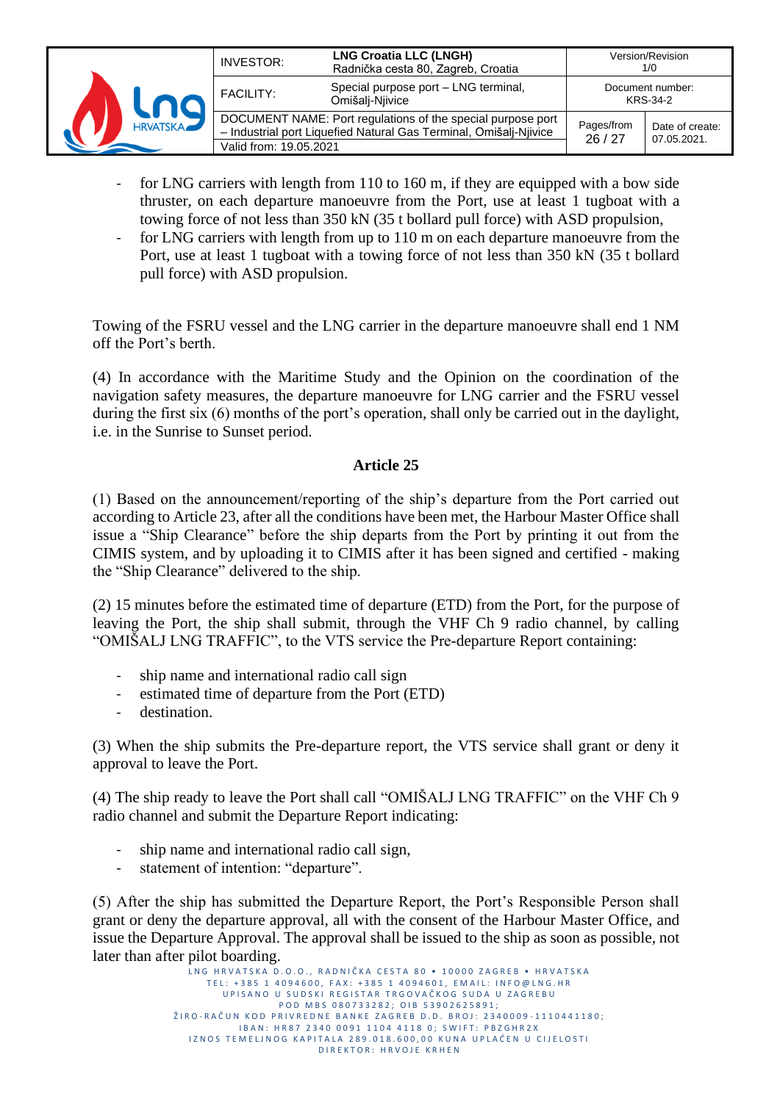| <b>HRVATSKA</b> | INVESTOR:              | <b>LNG Croatia LLC (LNGH)</b><br>Radnička cesta 80, Zagreb, Croatia                                                              |                              | Version/Revision<br>1/0        |
|-----------------|------------------------|----------------------------------------------------------------------------------------------------------------------------------|------------------------------|--------------------------------|
|                 | <b>FACILITY:</b>       | Special purpose port - LNG terminal,<br>Omišalį-Niivice                                                                          | Document number:<br>KRS-34-2 |                                |
|                 | Valid from: 19.05.2021 | DOCUMENT NAME: Port regulations of the special purpose port<br>- Industrial port Liquefied Natural Gas Terminal, Omišalj-Njivice | Pages/from<br>26/27          | Date of create:<br>07.05.2021. |

- for LNG carriers with length from  $110$  to  $160$  m, if they are equipped with a bow side thruster, on each departure manoeuvre from the Port, use at least 1 tugboat with a towing force of not less than 350 kN (35 t bollard pull force) with ASD propulsion,
- for LNG carriers with length from up to 110 m on each departure manoeuvre from the Port, use at least 1 tugboat with a towing force of not less than 350 kN (35 t bollard pull force) with ASD propulsion.

Towing of the FSRU vessel and the LNG carrier in the departure manoeuvre shall end 1 NM off the Port's berth.

(4) In accordance with the Maritime Study and the Opinion on the coordination of the navigation safety measures, the departure manoeuvre for LNG carrier and the FSRU vessel during the first six (6) months of the port's operation, shall only be carried out in the daylight, i.e. in the Sunrise to Sunset period.

#### **Article 25**

(1) Based on the announcement/reporting of the ship's departure from the Port carried out according to Article 23, after all the conditions have been met, the Harbour Master Office shall issue a "Ship Clearance" before the ship departs from the Port by printing it out from the CIMIS system, and by uploading it to CIMIS after it has been signed and certified - making the "Ship Clearance" delivered to the ship.

(2) 15 minutes before the estimated time of departure (ETD) from the Port, for the purpose of leaving the Port, the ship shall submit, through the VHF Ch 9 radio channel, by calling "OMIŠALJ LNG TRAFFIC", to the VTS service the Pre-departure Report containing:

- ship name and international radio call sign
- estimated time of departure from the Port (ETD)
- destination.

(3) When the ship submits the Pre-departure report, the VTS service shall grant or deny it approval to leave the Port.

(4) The ship ready to leave the Port shall call "OMIŠALJ LNG TRAFFIC" on the VHF Ch 9 radio channel and submit the Departure Report indicating:

- ship name and international radio call sign,
- statement of intention: "departure".

(5) After the ship has submitted the Departure Report, the Port's Responsible Person shall grant or deny the departure approval, all with the consent of the Harbour Master Office, and issue the Departure Approval. The approval shall be issued to the ship as soon as possible, not later than after pilot boarding.